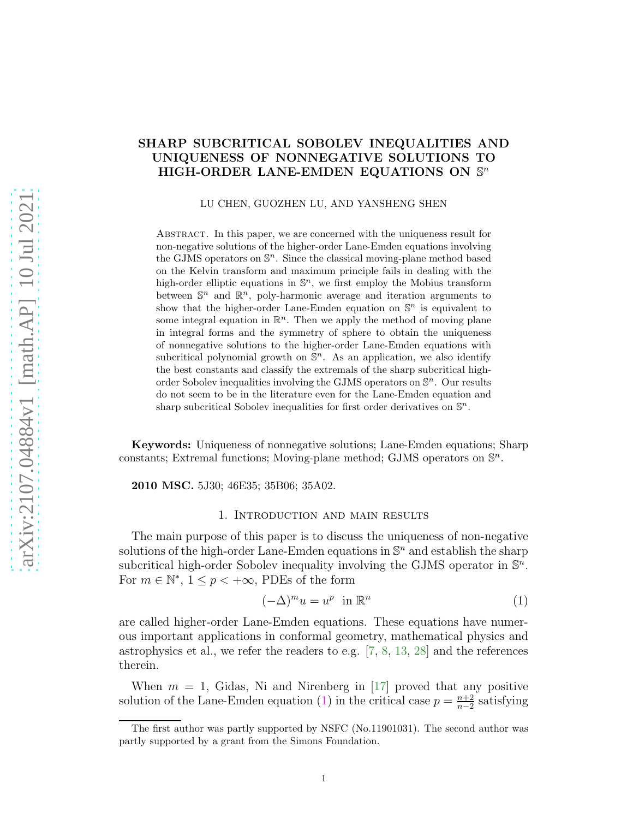# <span id="page-0-1"></span>SHARP SUBCRITICAL SOBOLEV INEQUALITIES AND UNIQUENESS OF NONNEGATIVE SOLUTIONS TO HIGH-ORDER LANE-EMDEN EQUATIONS ON  $\mathbb{S}^n$

LU CHEN, GUOZHEN LU, AND YANSHENG SHEN

Abstract. In this paper, we are concerned with the uniqueness result for non-negative solutions of the higher-order Lane-Emden equations involving the GJMS operators on  $\mathbb{S}^n$ . Since the classical moving-plane method based on the Kelvin transform and maximum principle fails in dealing with the high-order elliptic equations in  $\mathbb{S}^n$ , we first employ the Mobius transform between  $\mathbb{S}^n$  and  $\mathbb{R}^n$ , poly-harmonic average and iteration arguments to show that the higher-order Lane-Emden equation on  $\mathbb{S}^n$  is equivalent to some integral equation in  $\mathbb{R}^n$ . Then we apply the method of moving plane in integral forms and the symmetry of sphere to obtain the uniqueness of nonnegative solutions to the higher-order Lane-Emden equations with subcritical polynomial growth on  $\mathbb{S}^n$ . As an application, we also identify the best constants and classify the extremals of the sharp subcritical highorder Sobolev inequalities involving the GJMS operators on  $\mathbb{S}^n$ . Our results do not seem to be in the literature even for the Lane-Emden equation and sharp subcritical Sobolev inequalities for first order derivatives on  $\mathbb{S}^n$ .

Keywords: Uniqueness of nonnegative solutions; Lane-Emden equations; Sharp constants; Extremal functions; Moving-plane method; GJMS operators on  $\mathbb{S}^n$ .

2010 MSC. 5J30; 46E35; 35B06; 35A02.

#### 1. Introduction and main results

The main purpose of this paper is to discuss the uniqueness of non-negative solutions of the high-order Lane-Emden equations in  $\mathbb{S}^n$  and establish the sharp subcritical high-order Sobolev inequality involving the GJMS operator in  $\mathbb{S}^n$ . For  $m \in \mathbb{N}^*$ ,  $1 \leq p < +\infty$ , PDEs of the form

<span id="page-0-0"></span>
$$
(-\Delta)^m u = u^p \quad \text{in } \mathbb{R}^n \tag{1}
$$

are called higher-order Lane-Emden equations. These equations have numerous important applications in conformal geometry, mathematical physics and astrophysics et al., we refer the readers to e.g. [\[7,](#page-18-0) [8,](#page-18-1) [13,](#page-18-2) [28\]](#page-19-0) and the references therein.

When  $m = 1$ , Gidas, Ni and Nirenberg in [\[17\]](#page-19-1) proved that any positive solution of the Lane-Emden equation [\(1\)](#page-0-0) in the critical case  $p = \frac{n+2}{n-2}$  $\frac{n+2}{n-2}$  satisfying

The first author was partly supported by NSFC (No.11901031). The second author was partly supported by a grant from the Simons Foundation.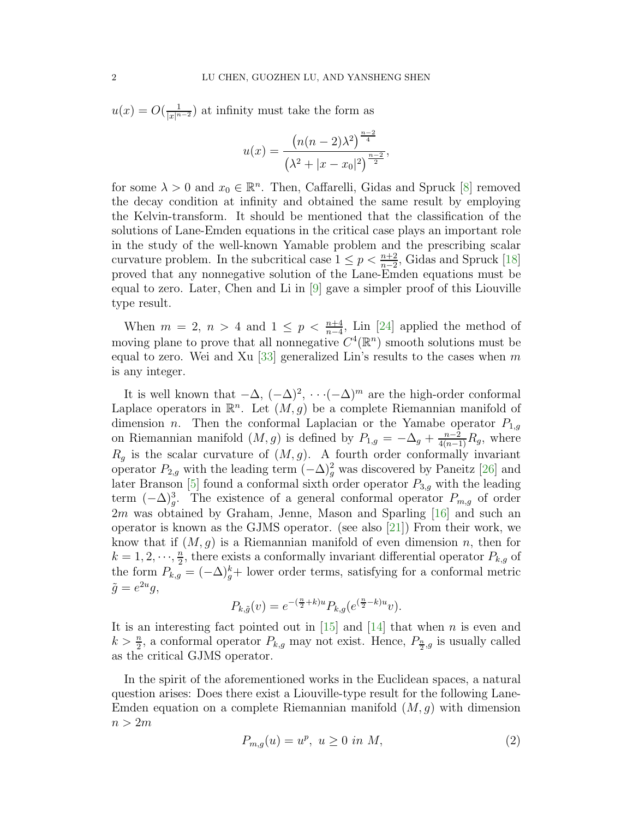<span id="page-1-0"></span> $u(x) = O(\frac{1}{|x|^{n-2}})$  at infinity must take the form as

$$
u(x) = \frac{\left(n(n-2)\lambda^2\right)^{\frac{n-2}{4}}}{\left(\lambda^2 + |x - x_0|^2\right)^{\frac{n-2}{2}}},
$$

for some  $\lambda > 0$  and  $x_0 \in \mathbb{R}^n$ . Then, Caffarelli, Gidas and Spruck [\[8\]](#page-18-1) removed the decay condition at infinity and obtained the same result by employing the Kelvin-transform. It should be mentioned that the classification of the solutions of Lane-Emden equations in the critical case plays an important role in the study of the well-known Yamable problem and the prescribing scalar curvature problem. In the subcritical case  $1 \le p < \frac{n+2}{n-2}$ , Gidas and Spruck [\[18\]](#page-19-2) proved that any nonnegative solution of the Lane-Emden equations must be equal to zero. Later, Chen and Li in [\[9\]](#page-18-3) gave a simpler proof of this Liouville type result.

When  $m = 2$ ,  $n > 4$  and  $1 \leq p < \frac{n+4}{n-4}$ , Lin [\[24\]](#page-19-3) applied the method of moving plane to prove that all nonnegative  $C^4(\mathbb{R}^n)$  smooth solutions must be equal to zero. Wei and Xu [\[33\]](#page-19-4) generalized Lin's results to the cases when m is any integer.

It is well known that  $-\Delta$ ,  $(-\Delta)^2$ ,  $\cdots$  $(-\Delta)^m$  are the high-order conformal Laplace operators in  $\mathbb{R}^n$ . Let  $(M, g)$  be a complete Riemannian manifold of dimension *n*. Then the conformal Laplacian or the Yamabe operator  $P_{1,q}$ on Riemannian manifold  $(M, g)$  is defined by  $P_{1,g} = -\Delta_g + \frac{n-2}{4(n-1)}R_g$ , where  $R_g$  is the scalar curvature of  $(M, g)$ . A fourth order conformally invariant operator  $P_{2,g}$  with the leading term  $(-\Delta)_g^2$  was discovered by Paneitz [\[26\]](#page-19-5) and later Branson [\[5\]](#page-18-4) found a conformal sixth order operator  $P_{3,g}$  with the leading term  $(-\Delta)^3_g$ . The existence of a general conformal operator  $P_{m,g}$  of order 2m was obtained by Graham, Jenne, Mason and Sparling [\[16\]](#page-19-6) and such an operator is known as the GJMS operator. (see also [\[21\]](#page-19-7)) From their work, we know that if  $(M, g)$  is a Riemannian manifold of even dimension n, then for  $k = 1, 2, \dots, \frac{n}{2}$  $\frac{n}{2}$ , there exists a conformally invariant differential operator  $P_{k,g}$  of the form  $P_{k,g} = (-\Delta)_g^k$  lower order terms, satisfying for a conformal metric  $\tilde{g} = e^{2u}g,$ 

$$
P_{k,\tilde{g}}(v) = e^{-(\frac{n}{2} + k)u} P_{k,g}(e^{(\frac{n}{2} - k)u}v).
$$

It is an interesting fact pointed out in  $[15]$  and  $[14]$  that when n is even and  $k > \frac{n}{2}$ , a conformal operator  $P_{k,g}$  may not exist. Hence,  $P_{\frac{n}{2},g}$  is usually called as the critical GJMS operator.

In the spirit of the aforementioned works in the Euclidean spaces, a natural question arises: Does there exist a Liouville-type result for the following Lane-Emden equation on a complete Riemannian manifold  $(M, g)$  with dimension  $n > 2m$ 

$$
P_{m,g}(u) = u^p, \ u \ge 0 \ in \ M,\tag{2}
$$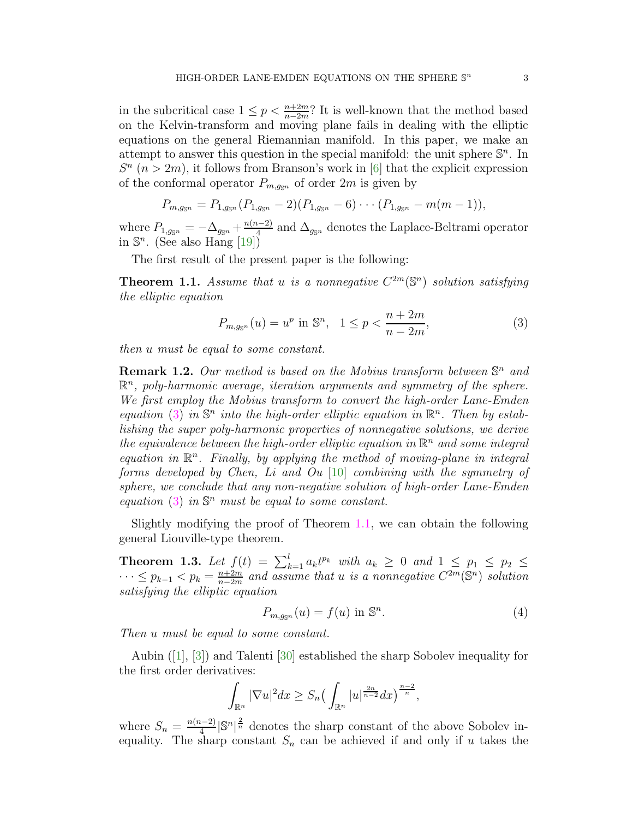<span id="page-2-2"></span>in the subcritical case  $1 \le p < \frac{n+2m}{n-2m}$ ? It is well-known that the method based on the Kelvin-transform and moving plane fails in dealing with the elliptic equations on the general Riemannian manifold. In this paper, we make an attempt to answer this question in the special manifold: the unit sphere  $\mathbb{S}^n$ . In  $S<sup>n</sup>$  ( $n > 2m$ ), it follows from Branson's work in [\[6\]](#page-18-5) that the explicit expression of the conformal operator  $P_{m,q_{\rm s}n}$  of order  $2m$  is given by

$$
P_{m,g_{\mathbb{S}^n}} = P_{1,g_{\mathbb{S}^n}}(P_{1,g_{\mathbb{S}^n}}-2)(P_{1,g_{\mathbb{S}^n}}-6)\cdots (P_{1,g_{\mathbb{S}^n}}-m(m-1)),
$$

where  $P_{1,g_{\mathbb{S}^n}} = -\Delta_{g_{\mathbb{S}^n}} + \frac{n(n-2)}{4}$  $\frac{a-2j}{4}$  and  $\Delta_{g_{\mathbb{S}^n}}$  denotes the Laplace-Beltrami operator in  $\mathbb{S}^n$ . (See also Hang [\[19\]](#page-19-10))

The first result of the present paper is the following:

<span id="page-2-1"></span>**Theorem 1.1.** Assume that u is a nonnegative  $C^{2m}(\mathbb{S}^n)$  solution satisfying the elliptic equation

<span id="page-2-0"></span>
$$
P_{m,g_{\mathbb{S}^n}}(u) = u^p \text{ in } \mathbb{S}^n, \quad 1 \le p < \frac{n+2m}{n-2m},\tag{3}
$$

then u must be equal to some constant.

**Remark 1.2.** Our method is based on the Mobius transform between  $\mathbb{S}^n$  and  $\mathbb{R}^n$ , poly-harmonic average, iteration arguments and symmetry of the sphere. We first employ the Mobius transform to convert the high-order Lane-Emden equation [\(3\)](#page-2-0) in  $\mathbb{S}^n$  into the high-order elliptic equation in  $\mathbb{R}^n$ . Then by establishing the super poly-harmonic properties of nonnegative solutions, we derive the equivalence between the high-order elliptic equation in  $\mathbb{R}^n$  and some integral equation in  $\mathbb{R}^n$ . Finally, by applying the method of moving-plane in integral forms developed by Chen, Li and Ou [\[10\]](#page-18-6) combining with the symmetry of sphere, we conclude that any non-negative solution of high-order Lane-Emden equation  $(3)$  in  $\mathbb{S}^n$  must be equal to some constant.

Slightly modifying the proof of Theorem [1.1,](#page-2-1) we can obtain the following general Liouville-type theorem.

**Theorem 1.3.** Let  $f(t) = \sum_{k=1}^{l} a_k t^{p_k}$  with  $a_k \geq 0$  and  $1 \leq p_1 \leq p_2 \leq$  $\cdots \leq p_{k-1} < p_k = \frac{n+2m}{n-2m}$  $\frac{n+2m}{n-2m}$  and assume that u is a nonnegative  $C^{2m}(\mathbb{S}^n)$  solution satisfying the elliptic equation

$$
P_{m,g_{\mathbb{S}^n}}(u) = f(u) \text{ in } \mathbb{S}^n. \tag{4}
$$

Then u must be equal to some constant.

Aubin([\[1\]](#page-18-7), [\[3\]](#page-18-8)) and Talenti [\[30\]](#page-19-11) established the sharp Sobolev inequality for the first order derivatives:

$$
\int_{\mathbb{R}^n} |\nabla u|^2 dx \ge S_n \left( \int_{\mathbb{R}^n} |u|^{\frac{2n}{n-2}} dx \right)^{\frac{n-2}{n}},
$$

where  $S_n = \frac{n(n-2)}{4}$  $\frac{(n-2)}{4} |\mathbb{S}^n|^{\frac{2}{n}}$  denotes the sharp constant of the above Sobolev inequality. The sharp constant  $S_n$  can be achieved if and only if u takes the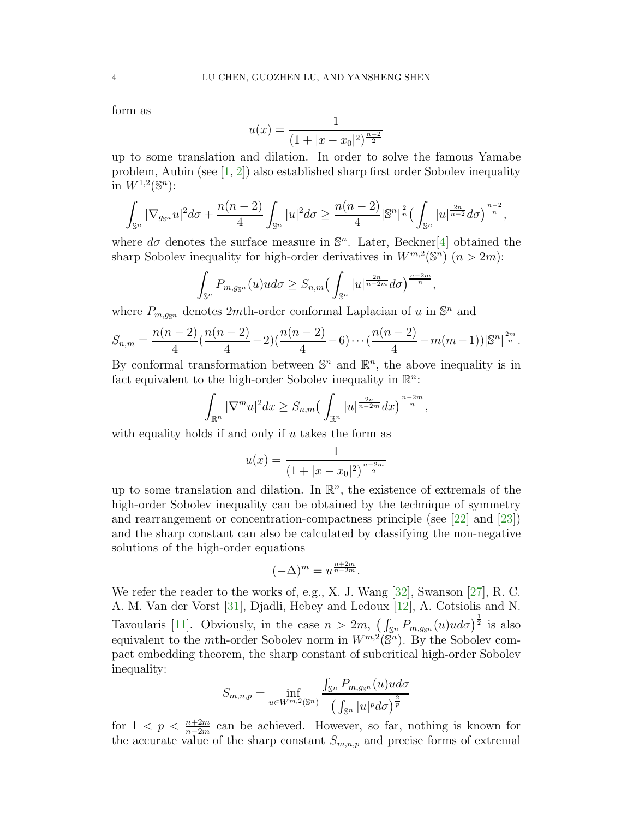<span id="page-3-0"></span>form as

$$
u(x) = \frac{1}{(1+|x-x_0|^2)^{\frac{n-2}{2}}}
$$

up to some translation and dilation. In order to solve the famous Yamabe problem, Aubin (see  $[1, 2]$  $[1, 2]$ ) also established sharp first order Sobolev inequality in  $W^{1,2}(\mathbb{S}^n)$ :

$$
\int_{\mathbb{S}^n} |\nabla_{g_{\mathbb{S}^n}} u|^2 d\sigma + \frac{n(n-2)}{4} \int_{\mathbb{S}^n} |u|^2 d\sigma \ge \frac{n(n-2)}{4} |\mathbb{S}^n|^{\frac{2}{n}} \Big(\int_{\mathbb{S}^n} |u|^{\frac{2n}{n-2}} d\sigma \Big)^{\frac{n-2}{n}},
$$

where  $d\sigma$  denotes the surface measure in  $\mathbb{S}^n$ . Later, Beckner<sup>[\[4\]](#page-18-10)</sup> obtained the sharp Sobolev inequality for high-order derivatives in  $W^{m,2}(\mathbb{S}^n)(n>2m)$ :

$$
\int_{\mathbb{S}^n} P_{m,g_{\mathbb{S}^n}}(u)ud\sigma \geq S_{n,m} \left( \int_{\mathbb{S}^n} |u|^{\frac{2n}{n-2m}} d\sigma \right)^{\frac{n-2m}{n}}
$$

,

where  $P_{m,g_{\mathbb{S}^n}}$  denotes 2*mth*-order conformal Laplacian of u in  $\mathbb{S}^n$  and

$$
S_{n,m} = \frac{n(n-2)}{4} \left(\frac{n(n-2)}{4} - 2\right) \left(\frac{n(n-2)}{4} - 6\right) \cdots \left(\frac{n(n-2)}{4} - m(m-1)\right) |\mathbb{S}^n|^{\frac{2m}{n}}.
$$

By conformal transformation between  $\mathbb{S}^n$  and  $\mathbb{R}^n$ , the above inequality is in fact equivalent to the high-order Sobolev inequality in  $\mathbb{R}^n$ :

$$
\int_{\mathbb{R}^n} |\nabla^m u|^2 dx \ge S_{n,m} \left( \int_{\mathbb{R}^n} |u|^{\frac{2n}{n-2m}} dx \right)^{\frac{n-2m}{n}},
$$

with equality holds if and only if  $u$  takes the form as

$$
u(x) = \frac{1}{(1+|x-x_0|^2)^{\frac{n-2m}{2}}}
$$

up to some translation and dilation. In  $\mathbb{R}^n$ , the existence of extremals of the high-order Sobolev inequality can be obtained by the technique of symmetry and rearrangement or concentration-compactness principle (see [\[22\]](#page-19-12) and [\[23\]](#page-19-13)) and the sharp constant can also be calculated by classifying the non-negative solutions of the high-order equations

$$
(-\Delta)^m = u^{\frac{n+2m}{n-2m}}.
$$

We refer the reader to the works of, e.g., X. J. Wang [\[32\]](#page-19-14), Swanson [\[27\]](#page-19-15), R. C. A. M. Van der Vorst [\[31\]](#page-19-16), Djadli, Hebey and Ledoux [\[12\]](#page-18-11), A. Cotsiolis and N. Tavoularis [\[11\]](#page-18-12). Obviously, in the case  $n > 2m$ ,  $\left(\int_{\mathbb{S}^n} P_{m,g_{\mathbb{S}^n}}(u)u d\sigma\right)^{\frac{1}{2}}$  is also equivalent to the *m*th-order Sobolev norm in  $W^{m,2}(\mathbb{S}^n)$ . By the Sobolev compact embedding theorem, the sharp constant of subcritical high-order Sobolev inequality:

$$
S_{m,n,p} = \inf_{u \in W^{m,2}(\mathbb{S}^n)} \frac{\int_{\mathbb{S}^n} P_{m,g_{\mathbb{S}^n}}(u)u d\sigma}{\left(\int_{\mathbb{S}^n} |u|^p d\sigma\right)^{\frac{2}{p}}}
$$

for  $1 < p < \frac{n+2m}{n-2m}$  can be achieved. However, so far, nothing is known for the accurate value of the sharp constant  $S_{m,n,p}$  and precise forms of extremal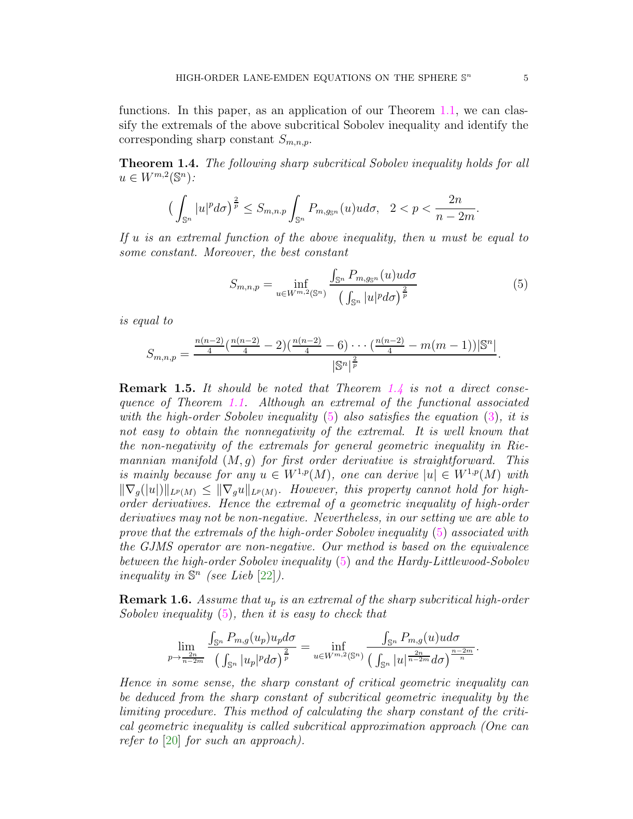<span id="page-4-2"></span>functions. In this paper, as an application of our Theorem [1.1,](#page-2-1) we can classify the extremals of the above subcritical Sobolev inequality and identify the corresponding sharp constant  $S_{m,n,p}$ .

<span id="page-4-0"></span>Theorem 1.4. The following sharp subcritical Sobolev inequality holds for all  $u \in W^{m,2}(\mathbb{S}^n)$ :

$$
\left(\int_{\mathbb{S}^n}|u|^p d\sigma\right)^{\frac{2}{p}} \leq S_{m,n,p}\int_{\mathbb{S}^n}P_{m,g_{\mathbb{S}^n}}(u)ud\sigma, \quad 2
$$

If  $u$  is an extremal function of the above inequality, then  $u$  must be equal to some constant. Moreover, the best constant

<span id="page-4-1"></span>
$$
S_{m,n,p} = \inf_{u \in W^{m,2}(\mathbb{S}^n)} \frac{\int_{\mathbb{S}^n} P_{m,g_{\mathbb{S}^n}}(u)u d\sigma}{\left(\int_{\mathbb{S}^n} |u|^p d\sigma\right)^{\frac{2}{p}}}
$$
(5)

is equal to

$$
S_{m,n,p} = \frac{\frac{n(n-2)}{4} (\frac{n(n-2)}{4} - 2)(\frac{n(n-2)}{4} - 6) \cdots (\frac{n(n-2)}{4} - m(m-1)) |\mathbb{S}^n|}{|\mathbb{S}^n|^{\frac{2}{p}}}
$$

**Remark 1.5.** It should be noted that Theorem [1.4](#page-4-0) is not a direct consequence of Theorem [1.1.](#page-2-1) Although an extremal of the functional associated with the high-order Sobolev inequality  $(5)$  also satisfies the equation  $(3)$ , it is not easy to obtain the nonnegativity of the extremal. It is well known that the non-negativity of the extremals for general geometric inequality in Riemannian manifold  $(M, g)$  for first order derivative is straightforward. This is mainly because for any  $u \in W^{1,p}(M)$ , one can derive  $|u| \in W^{1,p}(M)$  with  $\|\nabla_g(|u|)\|_{L^p(M)} \leq \|\nabla_g u\|_{L^p(M)}$ . However, this property cannot hold for highorder derivatives. Hence the extremal of a geometric inequality of high-order derivatives may not be non-negative. Nevertheless, in our setting we are able to prove that the extremals of the high-order Sobolev inequality [\(5\)](#page-4-1) associated with the GJMS operator are non-negative. Our method is based on the equivalence between the high-order Sobolev inequality [\(5\)](#page-4-1) and the Hardy-Littlewood-Sobolev inequality in  $\mathbb{S}^n$  (see Lieb [\[22\]](#page-19-12)).

**Remark 1.6.** Assume that  $u_p$  is an extremal of the sharp subcritical high-order Sobolev inequality  $(5)$ , then it is easy to check that

$$
\lim_{p\to\frac{2n}{n-2m}}\frac{\int_{\mathbb{S}^n}P_{m,g}(u_p)u_p d\sigma}{\left(\int_{\mathbb{S}^n}|u_p|^p d\sigma\right)^{\frac{2}{p}}}=\inf_{u\in W^{m,2}(\mathbb{S}^n)}\frac{\int_{\mathbb{S}^n}P_{m,g}(u)ud\sigma}{\left(\int_{\mathbb{S}^n}|u|^{\frac{2n}{n-2m}} d\sigma\right)^{\frac{n-2m}{n}}}.
$$

Hence in some sense, the sharp constant of critical geometric inequality can be deduced from the sharp constant of subcritical geometric inequality by the limiting procedure. This method of calculating the sharp constant of the critical geometric inequality is called subcritical approximation approach (One can refer to [\[20\]](#page-19-17) for such an approach).

.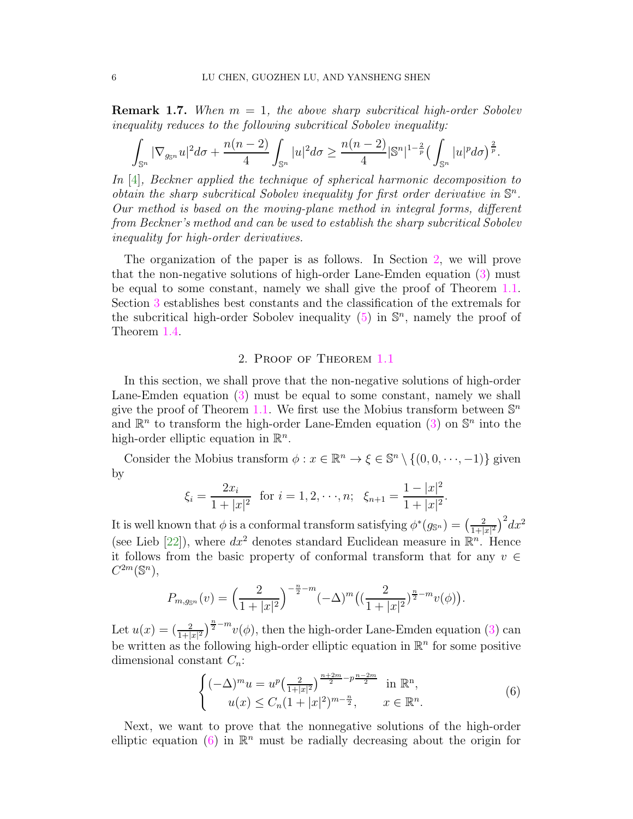<span id="page-5-2"></span>**Remark 1.7.** When  $m = 1$ , the above sharp subcritical high-order Sobolev inequality reduces to the following subcritical Sobolev inequality:

$$
\int_{\mathbb{S}^n} |\nabla_{g_{\mathbb{S}^n}} u|^2 d\sigma + \frac{n(n-2)}{4} \int_{\mathbb{S}^n} |u|^2 d\sigma \ge \frac{n(n-2)}{4} |\mathbb{S}^n|^{1-\frac{2}{p}} \big(\int_{\mathbb{S}^n} |u|^p d\sigma \big)^{\frac{2}{p}}.
$$

In [\[4\]](#page-18-10), Beckner applied the technique of spherical harmonic decomposition to obtain the sharp subcritical Sobolev inequality for first order derivative in  $\mathbb{S}^n$ . Our method is based on the moving-plane method in integral forms, different from Beckner's method and can be used to establish the sharp subcritical Sobolev inequality for high-order derivatives.

The organization of the paper is as follows. In Section [2,](#page-5-0) we will prove that the non-negative solutions of high-order Lane-Emden equation [\(3\)](#page-2-0) must be equal to some constant, namely we shall give the proof of Theorem [1.1.](#page-2-1) Section [3](#page-17-0) establishes best constants and the classification of the extremals for the subcritical high-order Sobolev inequality  $(5)$  in  $\mathbb{S}^n$ , namely the proof of Theorem [1.4.](#page-4-0)

## 2. Proof of Theorem [1.1](#page-2-1)

<span id="page-5-0"></span>In this section, we shall prove that the non-negative solutions of high-order Lane-Emden equation [\(3\)](#page-2-0) must be equal to some constant, namely we shall give the proof of Theorem [1.1.](#page-2-1) We first use the Mobius transform between  $\mathbb{S}^n$ and  $\mathbb{R}^n$  to transform the high-order Lane-Emden equation [\(3\)](#page-2-0) on  $\mathbb{S}^n$  into the high-order elliptic equation in  $\mathbb{R}^n$ .

Consider the Mobius transform  $\phi: x \in \mathbb{R}^n \to \xi \in \mathbb{S}^n \setminus \{(0,0,\dots,-1)\}\$  given by

$$
\xi_i = \frac{2x_i}{1+|x|^2}
$$
 for  $i = 1, 2, \dots, n$ ;  $\xi_{n+1} = \frac{1-|x|^2}{1+|x|^2}$ .

It is well known that  $\phi$  is a conformal transform satisfying  $\phi^*(g_{\mathbb{S}^n}) = \left(\frac{2}{1+1}\right)^n$  $\frac{2}{1+|x|^2}\Big)^2 dx^2$ (see Lieb [\[22\]](#page-19-12)), where  $dx^2$  denotes standard Euclidean measure in  $\mathbb{R}^n$ . Hence it follows from the basic property of conformal transform that for any  $v \in$  $C^{2m}(\mathbb{S}^n),$ 

$$
P_{m,g_{\mathbb{S}^n}}(v) = \left(\frac{2}{1+|x|^2}\right)^{-\frac{n}{2}-m} \left(-\Delta\right)^m \left(\left(\frac{2}{1+|x|^2}\right)^{\frac{n}{2}-m}v(\phi)\right).
$$

Let  $u(x) = \left(\frac{2}{1+|x|^2}\right)^{\frac{n}{2}-m}v(\phi)$ , then the high-order Lane-Emden equation [\(3\)](#page-2-0) can be written as the following high-order elliptic equation in  $\mathbb{R}^n$  for some positive dimensional constant  $C_n$ :

<span id="page-5-1"></span>
$$
\begin{cases}\n(-\Delta)^m u = u^p \left(\frac{2}{1+|x|^2}\right)^{\frac{n+2m}{2} - p^{\frac{n-2m}{2}}} \text{ in } \mathbb{R}^n, \\
u(x) \le C_n (1+|x|^2)^{m-\frac{n}{2}}, \quad x \in \mathbb{R}^n.\n\end{cases} \tag{6}
$$

Next, we want to prove that the nonnegative solutions of the high-order elliptic equation [\(6\)](#page-5-1) in  $\mathbb{R}^n$  must be radially decreasing about the origin for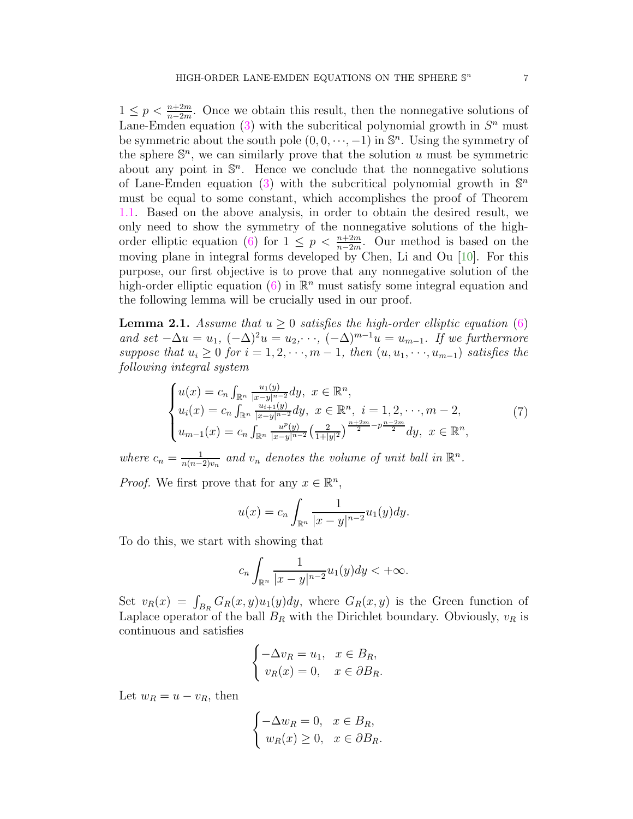<span id="page-6-1"></span> $1 \leq p < \frac{n+2m}{n-2m}$ . Once we obtain this result, then the nonnegative solutions of Lane-Emden equation [\(3\)](#page-2-0) with the subcritical polynomial growth in  $S<sup>n</sup>$  must be symmetric about the south pole  $(0,0,\dots,-1)$  in  $\mathbb{S}^n$ . Using the symmetry of the sphere  $\mathbb{S}^n$ , we can similarly prove that the solution u must be symmetric about any point in  $\mathbb{S}^n$ . Hence we conclude that the nonnegative solutions of Lane-Emden equation [\(3\)](#page-2-0) with the subcritical polynomial growth in  $\mathbb{S}^n$ must be equal to some constant, which accomplishes the proof of Theorem [1.1.](#page-2-1) Based on the above analysis, in order to obtain the desired result, we only need to show the symmetry of the nonnegative solutions of the high-order elliptic equation [\(6\)](#page-5-1) for  $1 \leq p \leq \frac{n+2m}{n-2m}$ . Our method is based on the moving plane in integral forms developed by Chen, Li and Ou [\[10\]](#page-18-6). For this purpose, our first objective is to prove that any nonnegative solution of the high-order elliptic equation [\(6\)](#page-5-1) in  $\mathbb{R}^n$  must satisfy some integral equation and the following lemma will be crucially used in our proof.

<span id="page-6-0"></span>**Lemma 2.1.** Assume that  $u > 0$  satisfies the high-order elliptic equation [\(6\)](#page-5-1) and set  $-\Delta u = u_1$ ,  $(-\Delta)^2 u = u_2$ ,  $\cdots$ ,  $(-\Delta)^{m-1}u = u_{m-1}$ . If we furthermore suppose that  $u_i \geq 0$  for  $i = 1, 2, \dots, m - 1$ , then  $(u, u_1, \dots, u_{m-1})$  satisfies the following integral system

$$
\begin{cases}\nu(x) = c_n \int_{\mathbb{R}^n} \frac{u_1(y)}{|x-y|^{n-2}} dy, & x \in \mathbb{R}^n, \\
u_i(x) = c_n \int_{\mathbb{R}^n} \frac{u_{i+1}(y)}{|x-y|^{n-2}} dy, & x \in \mathbb{R}^n, \ i = 1, 2, \dots, m-2, \\
u_{m-1}(x) = c_n \int_{\mathbb{R}^n} \frac{u^p(y)}{|x-y|^{n-2}} \left(\frac{2}{1+|y|^2}\right)^{\frac{n+2m}{2}-p\frac{n-2m}{2}} dy, & x \in \mathbb{R}^n,\n\end{cases} (7)
$$

where  $c_n = \frac{1}{n(n-1)}$  $\frac{1}{n(n-2)v_n}$  and  $v_n$  denotes the volume of unit ball in  $\mathbb{R}^n$ .

*Proof.* We first prove that for any  $x \in \mathbb{R}^n$ ,

$$
u(x) = c_n \int_{\mathbb{R}^n} \frac{1}{|x - y|^{n-2}} u_1(y) dy.
$$

To do this, we start with showing that

$$
c_n\int_{\mathbb{R}^n}\frac{1}{|x-y|^{n-2}}u_1(y)dy<+\infty.
$$

Set  $v_R(x) = \int_{B_R} G_R(x, y)u_1(y)dy$ , where  $G_R(x, y)$  is the Green function of Laplace operator of the ball  $B_R$  with the Dirichlet boundary. Obviously,  $v_R$  is continuous and satisfies

$$
\begin{cases}\n-\Delta v_R = u_1, & x \in B_R, \\
v_R(x) = 0, & x \in \partial B_R.\n\end{cases}
$$

Let  $w_R = u - v_R$ , then

$$
\begin{cases}\n-\Delta w_R = 0, & x \in B_R, \\
w_R(x) \ge 0, & x \in \partial B_R.\n\end{cases}
$$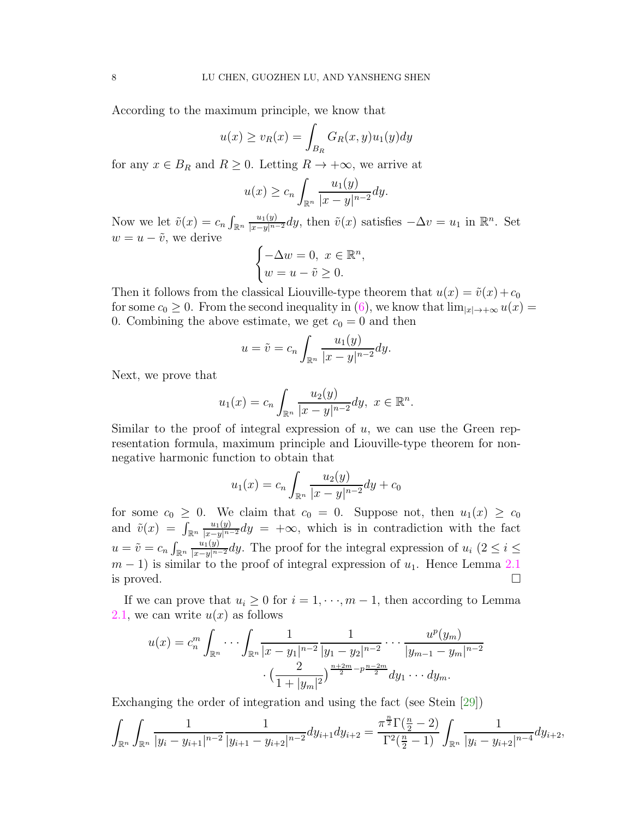<span id="page-7-0"></span>According to the maximum principle, we know that

$$
u(x) \ge v_R(x) = \int_{B_R} G_R(x, y)u_1(y)dy
$$

for any  $x \in B_R$  and  $R \geq 0$ . Letting  $R \to +\infty$ , we arrive at

$$
u(x) \ge c_n \int_{\mathbb{R}^n} \frac{u_1(y)}{|x-y|^{n-2}} dy.
$$

Now we let  $\tilde{v}(x) = c_n \int_{\mathbb{R}^n} \frac{u_1(y)}{|x-y|^{n-2}} dy$ , then  $\tilde{v}(x)$  satisfies  $-\Delta v = u_1$  in  $\mathbb{R}^n$ . Set  $w = u - \tilde{v}$ , we derive

$$
\begin{cases}\n-\Delta w = 0, \ x \in \mathbb{R}^n, \\
w = u - \tilde{v} \ge 0.\n\end{cases}
$$

Then it follows from the classical Liouville-type theorem that  $u(x) = \tilde{v}(x) + c_0$ for some  $c_0 \geq 0$ . From the second inequality in [\(6\)](#page-5-1), we know that  $\lim_{|x| \to +\infty} u(x) =$ 0. Combining the above estimate, we get  $c_0 = 0$  and then

$$
u = \tilde{v} = c_n \int_{\mathbb{R}^n} \frac{u_1(y)}{|x - y|^{n-2}} dy.
$$

Next, we prove that

$$
u_1(x) = c_n \int_{\mathbb{R}^n} \frac{u_2(y)}{|x - y|^{n-2}} dy, \ x \in \mathbb{R}^n.
$$

Similar to the proof of integral expression of  $u$ , we can use the Green representation formula, maximum principle and Liouville-type theorem for nonnegative harmonic function to obtain that

$$
u_1(x) = c_n \int_{\mathbb{R}^n} \frac{u_2(y)}{|x - y|^{n-2}} dy + c_0
$$

for some  $c_0 \geq 0$ . We claim that  $c_0 = 0$ . Suppose not, then  $u_1(x) \geq c_0$ and  $\tilde{v}(x) = \int_{\mathbb{R}^n} \frac{u_1(y)}{|x-y|^{n-2}} dy = +\infty$ , which is in contradiction with the fact  $u = \tilde{v} = c_n \int_{\mathbb{R}^n} \frac{u_1(y)}{|x-y|^{n-2}} dy$ . The proof for the integral expression of  $u_i$   $(2 \leq i \leq n)$  $m-1$ ) is similar to the proof of integral expression of  $u_1$ . Hence Lemma [2.1](#page-6-0) is proved.  $\Box$ 

If we can prove that  $u_i \geq 0$  for  $i = 1, \dots, m-1$ , then according to Lemma [2.1,](#page-6-0) we can write  $u(x)$  as follows

$$
u(x) = c_n^m \int_{\mathbb{R}^n} \cdots \int_{\mathbb{R}^n} \frac{1}{|x - y_1|^{n-2}} \frac{1}{|y_1 - y_2|^{n-2}} \cdots \frac{u^p(y_m)}{|y_{m-1} - y_m|^{n-2}} \cdot \left(\frac{2}{1 + |y_m|^2}\right)^{\frac{n+2m}{2} - p^{\frac{n-2m}{2}}} dy_1 \cdots dy_m.
$$

Exchanging the order of integration and using the fact (see Stein [\[29\]](#page-19-18))

$$
\int_{\mathbb{R}^n} \int_{\mathbb{R}^n} \frac{1}{|y_i - y_{i+1}|^{n-2}} \frac{1}{|y_{i+1} - y_{i+2}|^{n-2}} dy_{i+1} dy_{i+2} = \frac{\pi^{\frac{n}{2}} \Gamma(\frac{n}{2} - 2)}{\Gamma^2(\frac{n}{2} - 1)} \int_{\mathbb{R}^n} \frac{1}{|y_i - y_{i+2}|^{n-4}} dy_{i+2},
$$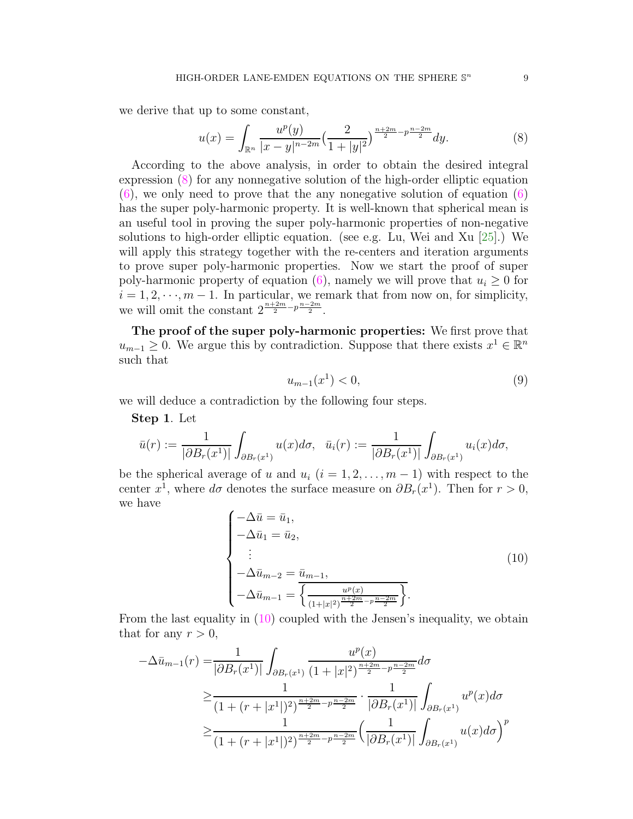<span id="page-8-3"></span>we derive that up to some constant,

<span id="page-8-0"></span>
$$
u(x) = \int_{\mathbb{R}^n} \frac{u^p(y)}{|x - y|^{n - 2m}} \left(\frac{2}{1 + |y|^2}\right)^{\frac{n + 2m}{2} - p\frac{n - 2m}{2}} dy.
$$
 (8)

According to the above analysis, in order to obtain the desired integral expression [\(8\)](#page-8-0) for any nonnegative solution of the high-order elliptic equation  $(6)$ , we only need to prove that the any nonegative solution of equation  $(6)$ has the super poly-harmonic property. It is well-known that spherical mean is an useful tool in proving the super poly-harmonic properties of non-negative solutions to high-order elliptic equation. (see e.g. Lu, Wei and Xu  $[25]$ .) We will apply this strategy together with the re-centers and iteration arguments to prove super poly-harmonic properties. Now we start the proof of super poly-harmonic property of equation [\(6\)](#page-5-1), namely we will prove that  $u_i \geq 0$  for  $i = 1, 2, \dots, m - 1$ . In particular, we remark that from now on, for simplicity, we will omit the constant  $2^{\frac{n+2m}{2}-p\frac{n-2m}{2}}$ .

The proof of the super poly-harmonic properties: We first prove that  $u_{m-1} \geq 0$ . We argue this by contradiction. Suppose that there exists  $x^1 \in \mathbb{R}^n$ such that

<span id="page-8-2"></span>
$$
u_{m-1}(x^1) < 0,\tag{9}
$$

we will deduce a contradiction by the following four steps.

Step 1. Let

$$
\bar{u}(r) := \frac{1}{|\partial B_r(x^1)|} \int_{\partial B_r(x^1)} u(x) d\sigma, \quad \bar{u}_i(r) := \frac{1}{|\partial B_r(x^1)|} \int_{\partial B_r(x^1)} u_i(x) d\sigma,
$$

be the spherical average of u and  $u_i$   $(i = 1, 2, \ldots, m - 1)$  with respect to the center  $x^1$ , where  $d\sigma$  denotes the surface measure on  $\partial B_r(x^1)$ . Then for  $r > 0$ , we have

<span id="page-8-1"></span>
$$
\begin{cases}\n-\Delta \bar{u} = \bar{u}_1, \\
-\Delta \bar{u}_1 = \bar{u}_2, \\
\vdots \\
-\Delta \bar{u}_{m-2} = \bar{u}_{m-1}, \\
-\Delta \bar{u}_{m-1} = \overline{\left\{\frac{u^p(x)}{(1+|x|^2)^{\frac{n+2m}{2} - p \frac{n-2m}{2}}}\right\}}.\n\end{cases} (10)
$$

From the last equality in [\(10\)](#page-8-1) coupled with the Jensen's inequality, we obtain that for any  $r > 0$ ,

$$
-\Delta \bar{u}_{m-1}(r) = \frac{1}{|\partial B_r(x^1)|} \int_{\partial B_r(x^1)} \frac{u^p(x)}{(1+|x|^2)^{\frac{n+2m}{2}-p\frac{n-2m}{2}}} d\sigma
$$
  
\n
$$
\geq \frac{1}{(1+(r+|x^1|)^2)^{\frac{n+2m}{2}-p\frac{n-2m}{2}}} \cdot \frac{1}{|\partial B_r(x^1)|} \int_{\partial B_r(x^1)} u^p(x) d\sigma
$$
  
\n
$$
\geq \frac{1}{(1+(r+|x^1|)^2)^{\frac{n+2m}{2}-p\frac{n-2m}{2}}} \left(\frac{1}{|\partial B_r(x^1)|} \int_{\partial B_r(x^1)} u(x) d\sigma\right)^p
$$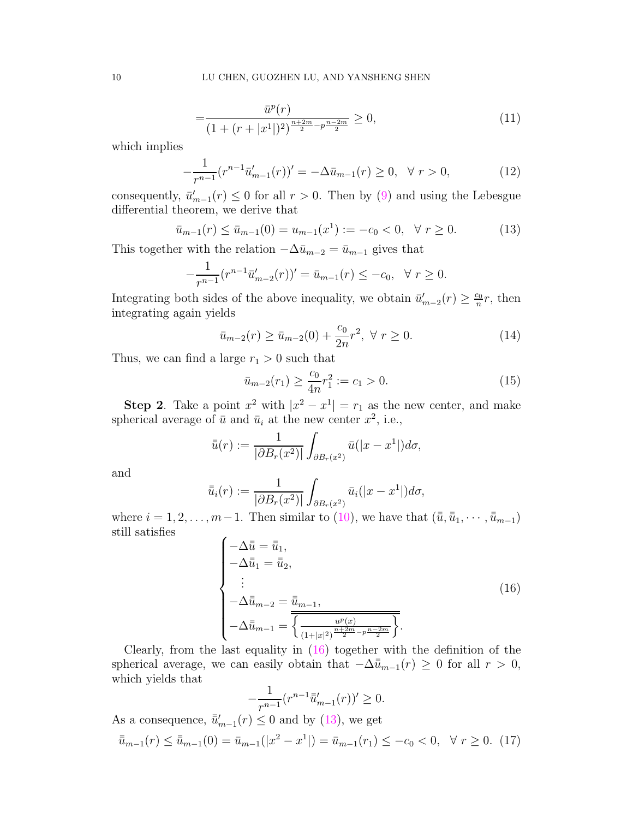$$
=\frac{\bar{u}^p(r)}{(1+(r+|x^1|)^2)^{\frac{n+2m}{2}-p\frac{n-2m}{2}}} \ge 0,
$$
\n(11)

which implies

$$
-\frac{1}{r^{n-1}}(r^{n-1}\bar{u}'_{m-1}(r))' = -\Delta \bar{u}_{m-1}(r) \ge 0, \quad \forall \ r > 0,
$$
\n(12)

consequently,  $\bar{u}'_{m-1}(r) \leq 0$  for all  $r > 0$ . Then by [\(9\)](#page-8-2) and using the Lebesgue differential theorem, we derive that

$$
\bar{u}_{m-1}(r) \le \bar{u}_{m-1}(0) = u_{m-1}(x^1) := -c_0 < 0, \quad \forall \ r \ge 0. \tag{13}
$$

This together with the relation  $-\Delta \bar{u}_{m-2} = \bar{u}_{m-1}$  gives that

$$
-\frac{1}{r^{n-1}}(r^{n-1}\bar{u}'_{m-2}(r))' = \bar{u}_{m-1}(r) \le -c_0, \quad \forall \ r \ge 0.
$$

Integrating both sides of the above inequality, we obtain  $\bar{u}'_{m-2}(r) \geq \frac{c_0}{n}$  $\frac{c_0}{n}r$ , then integrating again yields

$$
\bar{u}_{m-2}(r) \ge \bar{u}_{m-2}(0) + \frac{c_0}{2n}r^2, \ \forall \ r \ge 0.
$$
\n(14)

Thus, we can find a large  $r_1 > 0$  such that

<span id="page-9-3"></span><span id="page-9-1"></span>
$$
\bar{u}_{m-2}(r_1) \ge \frac{c_0}{4n} r_1^2 := c_1 > 0. \tag{15}
$$

**Step 2**. Take a point  $x^2$  with  $|x^2 - x^1| = r_1$  as the new center, and make spherical average of  $\bar{u}$  and  $\bar{u}_i$  at the new center  $x^2$ , i.e.,

$$
\bar{\bar{u}}(r) := \frac{1}{|\partial B_r(x^2)|} \int_{\partial B_r(x^2)} \bar{u}(|x-x^1|) d\sigma,
$$

and

$$
\bar{\bar{u}}_i(r) := \frac{1}{|\partial B_r(x^2)|} \int_{\partial B_r(x^2)} \bar{u}_i(|x-x^1|) d\sigma,
$$

where  $i = 1, 2, \ldots, m-1$ . Then similar to [\(10\)](#page-8-1), we have that  $(\bar{\bar{u}}, \bar{\bar{u}}_1, \cdots, \bar{\bar{u}}_{m-1})$ still satisfies

<span id="page-9-0"></span>
$$
\begin{cases}\n-\Delta \bar{u} = \bar{u}_1, \\
-\Delta \bar{u}_1 = \bar{u}_2, \\
\vdots \\
-\Delta \bar{u}_{m-2} = \bar{u}_{m-1}, \\
-\Delta \bar{u}_{m-1} = \overline{\left\{ \frac{u^p(x)}{(1+|x|^2)^{\frac{n+2m}{2} - p \frac{n-2m}{2}}}} \right\}}.\n\end{cases} \tag{16}
$$

Clearly, from the last equality in  $(16)$  together with the definition of the spherical average, we can easily obtain that  $-\Delta \bar{u}_{m-1}(r) \geq 0$  for all  $r > 0$ , which yields that

$$
-\frac{1}{r^{n-1}}(r^{n-1}\bar{u}'_{m-1}(r))' \ge 0.
$$

<span id="page-9-2"></span>As a consequence,  $\bar{u}'_{m-1}(r) \leq 0$  and by [\(13\)](#page-9-1), we get  $\bar{u}_{m-1}(r) \leq \bar{u}_{m-1}(0) = \bar{u}_{m-1}(|x^2 - x^1|) = \bar{u}_{m-1}(r_1) \leq -c_0 < 0, \forall r \geq 0.$  (17)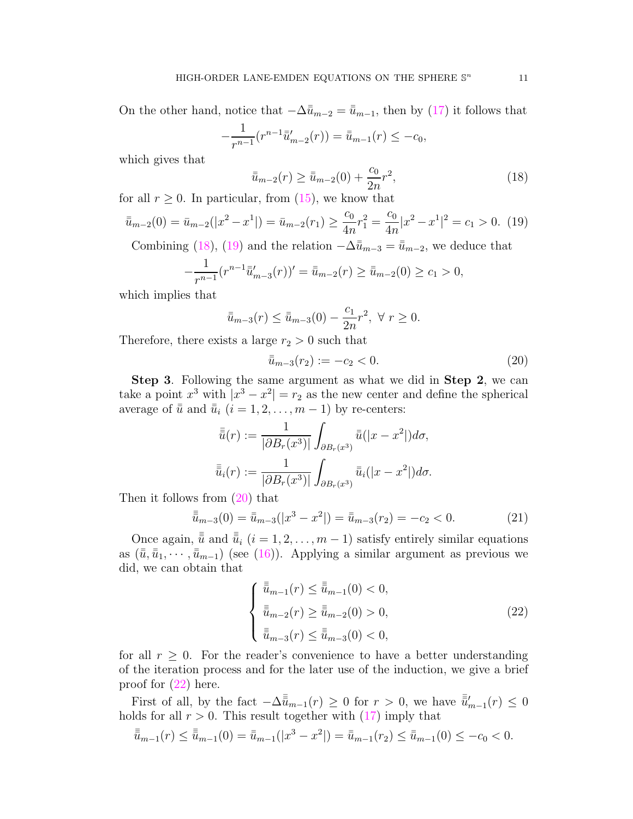On the other hand, notice that  $-\Delta \bar{u}_{m-2} = \bar{u}_{m-1}$ , then by [\(17\)](#page-9-2) it follows that

$$
-\frac{1}{r^{n-1}}(r^{n-1}\bar{\bar{u}}'_{m-2}(r)) = \bar{\bar{u}}_{m-1}(r) \le -c_0,
$$

which gives that

<span id="page-10-0"></span>
$$
\bar{u}_{m-2}(r) \ge \bar{u}_{m-2}(0) + \frac{c_0}{2n}r^2,
$$
\n(18)

for all  $r \geq 0$ . In particular, from  $(15)$ , we know that

<span id="page-10-1"></span>
$$
\bar{u}_{m-2}(0) = \bar{u}_{m-2}(|x^2 - x^1|) = \bar{u}_{m-2}(r_1) \ge \frac{c_0}{4n}r_1^2 = \frac{c_0}{4n}|x^2 - x^1|^2 = c_1 > 0.
$$
 (19)

Combining [\(18\)](#page-10-0), [\(19\)](#page-10-1) and the relation  $-\Delta \bar{u}_{m-3} = \bar{u}_{m-2}$ , we deduce that

$$
-\frac{1}{r^{n-1}}(r^{n-1}\bar{u}'_{m-3}(r))' = \bar{u}_{m-2}(r) \ge \bar{u}_{m-2}(0) \ge c_1 > 0,
$$

which implies that

$$
\bar{u}_{m-3}(r) \leq \bar{u}_{m-3}(0) - \frac{c_1}{2n}r^2, \ \forall \ r \geq 0.
$$

Therefore, there exists a large  $r_2 > 0$  such that

<span id="page-10-2"></span>
$$
\bar{u}_{m-3}(r_2) := -c_2 < 0. \tag{20}
$$

Step 3. Following the same argument as what we did in Step 2, we can take a point  $x^3$  with  $|x^3 - x^2| = r_2$  as the new center and define the spherical average of  $\bar{u}$  and  $\bar{u}_i$   $(i = 1, 2, \ldots, m - 1)$  by re-centers:

$$
\bar{\bar{u}}(r) := \frac{1}{|\partial B_r(x^3)|} \int_{\partial B_r(x^3)} \bar{\bar{u}}(|x - x^2|) d\sigma,
$$
  

$$
\bar{\bar{u}}_i(r) := \frac{1}{|\partial B_r(x^3)|} \int_{\partial B_r(x^3)} \bar{\bar{u}}_i(|x - x^2|) d\sigma.
$$

Then it follows from [\(20\)](#page-10-2) that

$$
\bar{\bar{u}}_{m-3}(0) = \bar{u}_{m-3}(|x^3 - x^2|) = \bar{u}_{m-3}(r_2) = -c_2 < 0. \tag{21}
$$

Once again,  $\bar{\bar{u}}$  and  $\bar{\bar{u}}_i$  (i = 1, 2, ..., m – 1) satisfy entirely similar equations as  $(\bar{\bar{u}}, \bar{\bar{u}}_1, \cdots, \bar{\bar{u}}_{m-1})$  (see [\(16\)](#page-9-0)). Applying a similar argument as previous we did, we can obtain that

<span id="page-10-4"></span><span id="page-10-3"></span>
$$
\begin{cases} \bar{\bar{u}}_{m-1}(r) \le \bar{\bar{u}}_{m-1}(0) < 0, \\ \bar{\bar{u}}_{m-2}(r) \ge \bar{\bar{u}}_{m-2}(0) > 0, \\ \bar{\bar{u}}_{m-3}(r) \le \bar{\bar{u}}_{m-3}(0) < 0, \end{cases} \tag{22}
$$

for all  $r \geq 0$ . For the reader's convenience to have a better understanding of the iteration process and for the later use of the induction, we give a brief proof for [\(22\)](#page-10-3) here.

First of all, by the fact  $-\Delta \overline{\overline{u}}_{m-1}(r) \ge 0$  for  $r > 0$ , we have  $\overline{\overline{u}}'_{m-1}(r) \le 0$ holds for all  $r > 0$ . This result together with  $(17)$  imply that

$$
\bar{\bar{u}}_{m-1}(r) \leq \bar{\bar{u}}_{m-1}(0) = \bar{\bar{u}}_{m-1}(|x^3 - x^2|) = \bar{\bar{u}}_{m-1}(r_2) \leq \bar{\bar{u}}_{m-1}(0) \leq -c_0 < 0.
$$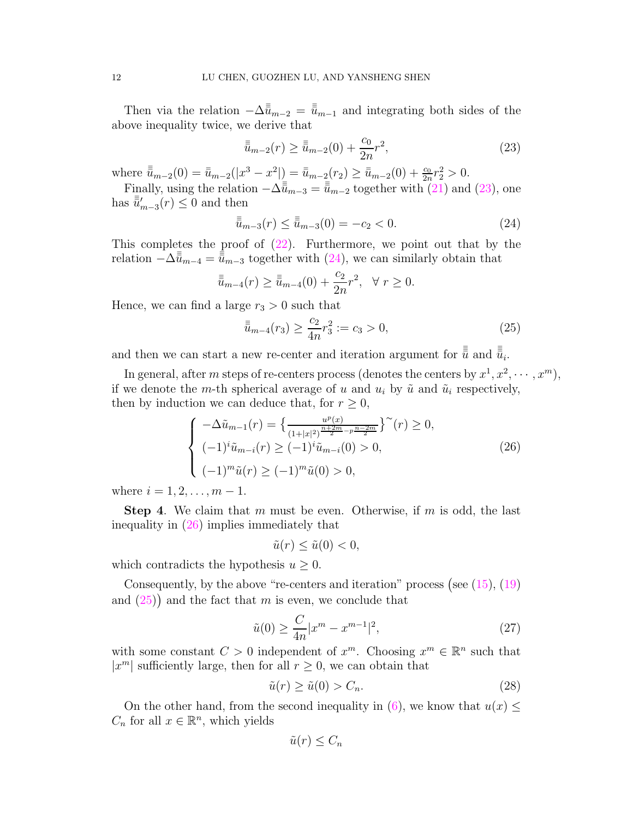Then via the relation  $-\Delta^{\bar{\bar{u}}}_{m-2} = \bar{\bar{u}}_{m-1}$  and integrating both sides of the above inequality twice, we derive that

<span id="page-11-0"></span>
$$
\bar{\bar{\bar{u}}}_{m-2}(r) \ge \bar{\bar{\bar{u}}}_{m-2}(0) + \frac{c_0}{2n}r^2,
$$
\n(23)

where  $\bar{\bar{u}}_{m-2}(0) = \bar{u}_{m-2}(|x^3 - x^2|) = \bar{u}_{m-2}(r_2) \ge \bar{u}_{m-2}(0) + \frac{c_0}{2n}r_2^2 > 0.$ 

Finally, using the relation  $-\Delta \overline{\overline{\overline{\overline{u}}}}_{m-3} = \overline{\overline{\overline{\overline{u}}}}_{m-2}$  together with [\(21\)](#page-10-4) and [\(23\)](#page-11-0), one has  $\bar{\bar{u}}'_{m-3}(r) \leq 0$  and then

<span id="page-11-1"></span>
$$
\bar{\bar{u}}_{m-3}(r) \le \bar{\bar{u}}_{m-3}(0) = -c_2 < 0. \tag{24}
$$

This completes the proof of  $(22)$ . Furthermore, we point out that by the relation  $-\Delta_{\bar{u}_{m-4}}^{\bar{\bar{u}}=\bar{\bar{u}}_{m-3}$  together with [\(24\)](#page-11-1), we can similarly obtain that

$$
\bar{\bar{\bar{u}}}_{m-4}(r) \ge \bar{\bar{\bar{u}}}_{m-4}(0) + \frac{c_2}{2n}r^2, \ \ \forall \ r \ge 0.
$$

Hence, we can find a large  $r_3 > 0$  such that

<span id="page-11-3"></span>
$$
\bar{\bar{u}}_{m-4}(r_3) \ge \frac{c_2}{4n} r_3^2 := c_3 > 0,
$$
\n(25)

and then we can start a new re-center and iteration argument for  $\bar{\bar{\bar{\bar{u}}}}$  and  $\bar{\bar{\bar{\bar{u}}}}_i$ .

In general, after m steps of re-centers process (denotes the centers by  $x^1, x^2, \cdots, x^m$ ), if we denote the m-th spherical average of u and  $u_i$  by  $\tilde{u}$  and  $\tilde{u}_i$  respectively, then by induction we can deduce that, for  $r \geq 0$ ,

<span id="page-11-2"></span>
$$
\begin{cases}\n-\Delta \tilde{u}_{m-1}(r) = \left\{ \frac{u^p(x)}{(1+|x|^2)^{\frac{n+2m}{2}-p^{\frac{n-2m}{2}}}} \right\}^{\infty}(r) \ge 0, \\
(-1)^i \tilde{u}_{m-i}(r) \ge (-1)^i \tilde{u}_{m-i}(0) > 0, \\
(-1)^m \tilde{u}(r) \ge (-1)^m \tilde{u}(0) > 0,\n\end{cases} \tag{26}
$$

where  $i = 1, 2, ..., m - 1$ .

**Step 4.** We claim that m must be even. Otherwise, if m is odd, the last inequality in [\(26\)](#page-11-2) implies immediately that

$$
\tilde{u}(r) \le \tilde{u}(0) < 0,
$$

which contradicts the hypothesis  $u > 0$ .

Consequently, by the above "re-centers and iteration" process (see  $(15)$ ,  $(19)$ ) and  $(25)$  and the fact that m is even, we conclude that

$$
\tilde{u}(0) \ge \frac{C}{4n} |x^m - x^{m-1}|^2,\tag{27}
$$

with some constant  $C > 0$  independent of  $x^m$ . Choosing  $x^m \in \mathbb{R}^n$  such that  $|x^m|$  sufficiently large, then for all  $r \geq 0$ , we can obtain that

$$
\tilde{u}(r) \ge \tilde{u}(0) > C_n. \tag{28}
$$

On the other hand, from the second inequality in [\(6\)](#page-5-1), we know that  $u(x) \leq$  $C_n$  for all  $x \in \mathbb{R}^n$ , which yields

<span id="page-11-4"></span>
$$
\tilde{u}(r) \leq C_n
$$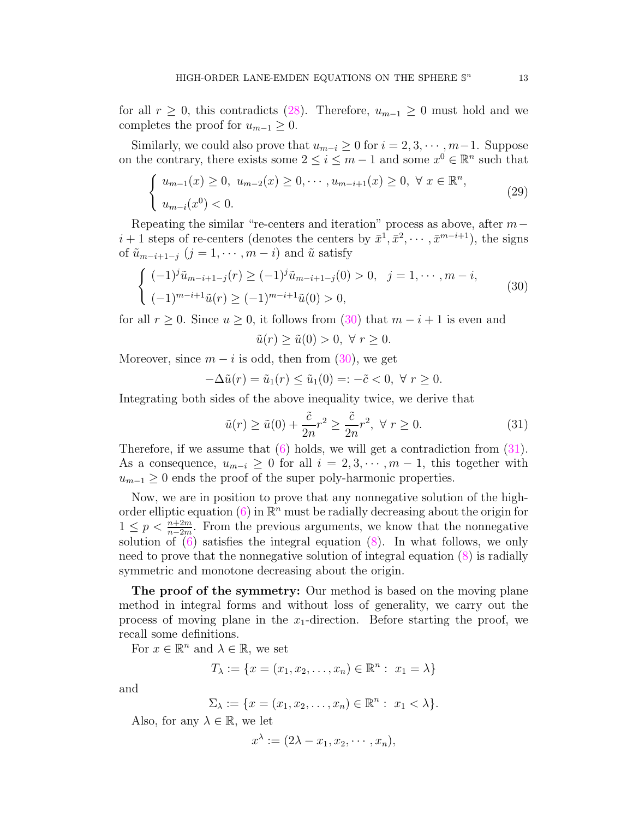for all  $r \geq 0$ , this contradicts [\(28\)](#page-11-4). Therefore,  $u_{m-1} \geq 0$  must hold and we completes the proof for  $u_{m-1} \geq 0$ .

Similarly, we could also prove that  $u_{m-i} \geq 0$  for  $i = 2, 3, \cdots, m-1$ . Suppose on the contrary, there exists some  $2 \leq i \leq m-1$  and some  $x^0 \in \mathbb{R}^n$  such that

$$
\begin{cases} u_{m-1}(x) \ge 0, u_{m-2}(x) \ge 0, \cdots, u_{m-i+1}(x) \ge 0, \forall x \in \mathbb{R}^n, \\ u_{m-i}(x^0) < 0. \end{cases}
$$
 (29)

Repeating the similar "re-centers and iteration" process as above, after  $m$  $i+1$  steps of re-centers (denotes the centers by  $\bar{x}^1, \bar{x}^2, \cdots, \bar{x}^{m-i+1}$ ), the signs of  $\tilde{u}_{m-i+1-j}$   $(j = 1, \dots, m-i)$  and  $\tilde{u}$  satisfy

<span id="page-12-0"></span>
$$
\begin{cases}\n(-1)^{j}\tilde{u}_{m-i+1-j}(r) \ge (-1)^{j}\tilde{u}_{m-i+1-j}(0) > 0, \quad j = 1, \cdots, m-i, \\
(-1)^{m-i+1}\tilde{u}(r) \ge (-1)^{m-i+1}\tilde{u}(0) > 0,\n\end{cases} \tag{30}
$$

for all  $r \geq 0$ . Since  $u \geq 0$ , it follows from  $(30)$  that  $m - i + 1$  is even and

<span id="page-12-1"></span>
$$
\tilde{u}(r) \ge \tilde{u}(0) > 0, \ \forall \ r \ge 0.
$$

Moreover, since  $m - i$  is odd, then from [\(30\)](#page-12-0), we get

$$
-\Delta \tilde{u}(r) = \tilde{u}_1(r) \le \tilde{u}_1(0) =: -\tilde{c} < 0, \ \forall \ r \ge 0.
$$

Integrating both sides of the above inequality twice, we derive that

$$
\tilde{u}(r) \ge \tilde{u}(0) + \frac{\tilde{c}}{2n}r^2 \ge \frac{\tilde{c}}{2n}r^2, \ \forall \ r \ge 0.
$$
\n(31)

Therefore, if we assume that  $(6)$  holds, we will get a contradiction from  $(31)$ . As a consequence,  $u_{m-i} \geq 0$  for all  $i = 2, 3, \dots, m-1$ , this together with  $u_{m-1} \geq 0$  ends the proof of the super poly-harmonic properties.

Now, we are in position to prove that any nonnegative solution of the high-order elliptic equation [\(6\)](#page-5-1) in  $\mathbb{R}^n$  must be radially decreasing about the origin for  $1 \leq p < \frac{n+2m}{n-2m}$ . From the previous arguments, we know that the nonnegative solution of  $(6)$  satisfies the integral equation  $(8)$ . In what follows, we only need to prove that the nonnegative solution of integral equation [\(8\)](#page-8-0) is radially symmetric and monotone decreasing about the origin.

The proof of the symmetry: Our method is based on the moving plane method in integral forms and without loss of generality, we carry out the process of moving plane in the  $x_1$ -direction. Before starting the proof, we recall some definitions.

For  $x \in \mathbb{R}^n$  and  $\lambda \in \mathbb{R}$ , we set

$$
T_{\lambda} := \{ x = (x_1, x_2, \dots, x_n) \in \mathbb{R}^n : x_1 = \lambda \}
$$

and

$$
\Sigma_{\lambda} := \{ x = (x_1, x_2, \dots, x_n) \in \mathbb{R}^n : x_1 < \lambda \}.
$$

Also, for any  $\lambda \in \mathbb{R}$ , we let

$$
x^{\lambda} := (2\lambda - x_1, x_2, \cdots, x_n),
$$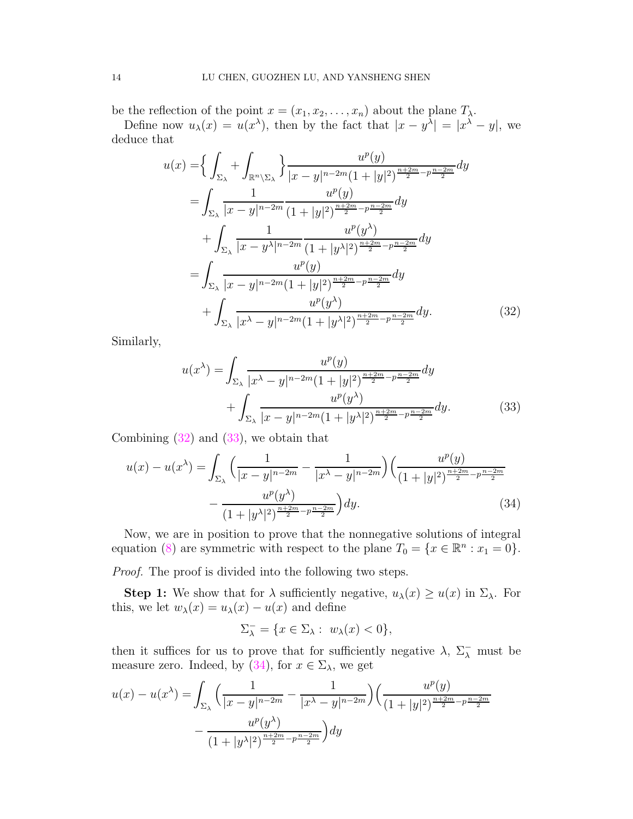be the reflection of the point  $x = (x_1, x_2, \ldots, x_n)$  about the plane  $T_\lambda$ .

Define now  $u_{\lambda}(x) = u(x^{\lambda})$ , then by the fact that  $|x - y^{\lambda}| = |x^{\lambda} - y|$ , we deduce that

$$
u(x) = \left\{ \int_{\Sigma_{\lambda}} + \int_{\mathbb{R}^n \setminus \Sigma_{\lambda}} \right\} \frac{u^p(y)}{|x - y|^{n - 2m} (1 + |y|^2)^{\frac{n + 2m}{2} - p \frac{n - 2m}{2}}} dy
$$
  
\n
$$
= \int_{\Sigma_{\lambda}} \frac{1}{|x - y|^{n - 2m}} \frac{u^p(y)}{(1 + |y|^2)^{\frac{n + 2m}{2} - p \frac{n - 2m}{2}}} dy
$$
  
\n
$$
+ \int_{\Sigma_{\lambda}} \frac{1}{|x - y^{\lambda}|^{n - 2m}} \frac{u^p(y^{\lambda})}{(1 + |y^{\lambda}|^2)^{\frac{n + 2m}{2} - p \frac{n - 2m}{2}}} dy
$$
  
\n
$$
= \int_{\Sigma_{\lambda}} \frac{u^p(y)}{|x - y|^{n - 2m} (1 + |y|^2)^{\frac{n + 2m}{2} - p \frac{n - 2m}{2}}} dy
$$
  
\n
$$
+ \int_{\Sigma_{\lambda}} \frac{u^p(y^{\lambda})}{|x^{\lambda} - y|^{n - 2m} (1 + |y^{\lambda}|^2)^{\frac{n + 2m}{2} - p \frac{n - 2m}{2}}} dy.
$$
 (32)

Similarly,

<span id="page-13-1"></span><span id="page-13-0"></span>
$$
u(x^{\lambda}) = \int_{\Sigma_{\lambda}} \frac{u^p(y)}{|x^{\lambda} - y|^{n-2m} (1 + |y|^2)^{\frac{n+2m}{2} - p \frac{n-2m}{2}}} dy + \int_{\Sigma_{\lambda}} \frac{u^p(y^{\lambda})}{|x - y|^{n-2m} (1 + |y^{\lambda}|^2)^{\frac{n+2m}{2} - p \frac{n-2m}{2}}} dy.
$$
 (33)

Combining  $(32)$  and  $(33)$ , we obtain that

$$
u(x) - u(x^{\lambda}) = \int_{\Sigma_{\lambda}} \left( \frac{1}{|x - y|^{n - 2m}} - \frac{1}{|x^{\lambda} - y|^{n - 2m}} \right) \left( \frac{u^p(y)}{\left(1 + |y|^2\right)^{\frac{n + 2m}{2} - p\frac{n - 2m}{2}}} - \frac{u^p(y^{\lambda})}{\left(1 + |y^{\lambda}|^2\right)^{\frac{n + 2m}{2} - p\frac{n - 2m}{2}}} \right) dy.
$$
 (34)

Now, we are in position to prove that the nonnegative solutions of integral equation [\(8\)](#page-8-0) are symmetric with respect to the plane  $T_0 = \{x \in \mathbb{R}^n : x_1 = 0\}.$ 

Proof. The proof is divided into the following two steps.

**Step 1:** We show that for  $\lambda$  sufficiently negative,  $u_{\lambda}(x) \geq u(x)$  in  $\Sigma_{\lambda}$ . For this, we let  $w_{\lambda}(x) = u_{\lambda}(x) - u(x)$  and define

<span id="page-13-2"></span>
$$
\Sigma_{\lambda}^- = \{ x \in \Sigma_{\lambda} : w_{\lambda}(x) < 0 \},
$$

then it suffices for us to prove that for sufficiently negative  $\lambda$ ,  $\Sigma_{\lambda}^-$  must be measure zero. Indeed, by [\(34\)](#page-13-2), for  $x \in \Sigma_{\lambda}$ , we get

$$
u(x) - u(x^{\lambda}) = \int_{\Sigma_{\lambda}} \left( \frac{1}{|x - y|^{n - 2m}} - \frac{1}{|x^{\lambda} - y|^{n - 2m}} \right) \left( \frac{u^p(y)}{(1 + |y|^2)^{\frac{n + 2m}{2} - p \frac{n - 2m}{2}}} - \frac{u^p(y^{\lambda})}{(1 + |y^{\lambda}|^2)^{\frac{n + 2m}{2} - p \frac{n - 2m}{2}}} \right) dy
$$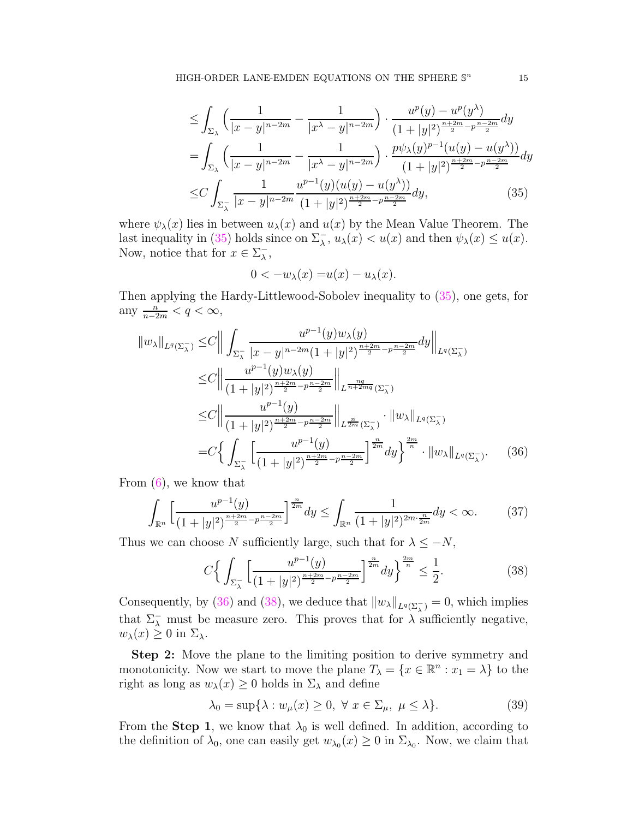$$
\leq \int_{\Sigma_{\lambda}} \left( \frac{1}{|x-y|^{n-2m}} - \frac{1}{|x^{\lambda} - y|^{n-2m}} \right) \cdot \frac{u^p(y) - u^p(y^{\lambda})}{(1 + |y|^2)^{\frac{n+2m}{2} - p\frac{n-2m}{2}}} dy
$$
  
\n
$$
= \int_{\Sigma_{\lambda}} \left( \frac{1}{|x-y|^{n-2m}} - \frac{1}{|x^{\lambda} - y|^{n-2m}} \right) \cdot \frac{p\psi_{\lambda}(y)^{p-1}(u(y) - u(y^{\lambda}))}{(1 + |y|^2)^{\frac{n+2m}{2} - p\frac{n-2m}{2}}} dy
$$
  
\n
$$
\leq C \int_{\Sigma_{\lambda}} \frac{1}{|x - y|^{n-2m}} \frac{u^{p-1}(y)(u(y) - u(y^{\lambda}))}{(1 + |y|^2)^{\frac{n+2m}{2} - p\frac{n-2m}{2}}} dy,
$$
 (35)

where  $\psi_{\lambda}(x)$  lies in between  $u_{\lambda}(x)$  and  $u(x)$  by the Mean Value Theorem. The last inequality in [\(35\)](#page-14-0) holds since on  $\Sigma_{\lambda}$ ,  $u_{\lambda}(x) < u(x)$  and then  $\psi_{\lambda}(x) \le u(x)$ . Now, notice that for  $x \in \Sigma_{\lambda}^ \frac{-}{\lambda}$ ,

<span id="page-14-1"></span><span id="page-14-0"></span>
$$
0 < -w_{\lambda}(x) = u(x) - u_{\lambda}(x).
$$

Then applying the Hardy-Littlewood-Sobolev inequality to [\(35\)](#page-14-0), one gets, for any  $\frac{n}{n-2m} < q < \infty$ ,

$$
\|w_{\lambda}\|_{L^{q}(\Sigma_{\lambda}^{-})} \leq C \Big\| \int_{\Sigma_{\lambda}^{-}} \frac{u^{p-1}(y)w_{\lambda}(y)}{|x-y|^{n-2m}(1+|y|^{2})^{\frac{n+2m}{2}-p\frac{n-2m}{2}}} dy \Big\|_{L^{q}(\Sigma_{\lambda}^{-})}
$$
  
\n
$$
\leq C \Big\| \frac{u^{p-1}(y)w_{\lambda}(y)}{(1+|y|^{2})^{\frac{n+2m}{2}-p\frac{n-2m}{2}}} \Big\|_{L^{\frac{nq}{n+2mq}}(\Sigma_{\lambda}^{-})}
$$
  
\n
$$
\leq C \Big\| \frac{u^{p-1}(y)}{(1+|y|^{2})^{\frac{n+2m}{2}-p\frac{n-2m}{2}}} \Big\|_{L^{\frac{n}{2m}}(\Sigma_{\lambda}^{-})} \cdot \|w_{\lambda}\|_{L^{q}(\Sigma_{\lambda}^{-})}
$$
  
\n
$$
= C \Big\{ \int_{\Sigma_{\lambda}^{-}} \Big[ \frac{u^{p-1}(y)}{(1+|y|^{2})^{\frac{n+2m}{2}-p\frac{n-2m}{2}}} \Big]^{\frac{n}{2m}} dy \Big\}^{\frac{2m}{n}} \cdot \|w_{\lambda}\|_{L^{q}(\Sigma_{\lambda}^{-})}.
$$
 (36)

From  $(6)$ , we know that

$$
\int_{\mathbb{R}^n} \left[ \frac{u^{p-1}(y)}{(1+|y|^2)^{\frac{n+2m}{2}-p\frac{n-2m}{2}}} \right]^{\frac{n}{2m}} dy \le \int_{\mathbb{R}^n} \frac{1}{(1+|y|^2)^{2m\cdot\frac{n}{2m}}} dy < \infty.
$$
 (37)

Thus we can choose N sufficiently large, such that for  $\lambda \leq -N$ ,

<span id="page-14-3"></span><span id="page-14-2"></span>
$$
C\left\{\int_{\Sigma_{\lambda}^{-}}\left[\frac{u^{p-1}(y)}{(1+|y|^{2})^{\frac{n+2m}{2}-p\frac{n-2m}{2}}}\right]^{\frac{n}{2m}}dy\right\}^{\frac{2m}{n}}\leq\frac{1}{2}.
$$
 (38)

Consequently, by [\(36\)](#page-14-1) and [\(38\)](#page-14-2), we deduce that  $||w_\lambda||_{L^q(\Sigma_\lambda^-)} = 0$ , which implies that  $\Sigma_{\lambda}^-$  must be measure zero. This proves that for  $\lambda$  sufficiently negative,  $w_{\lambda}(x) \geq 0$  in  $\Sigma_{\lambda}$ .

Step 2: Move the plane to the limiting position to derive symmetry and monotonicity. Now we start to move the plane  $T_{\lambda} = \{x \in \mathbb{R}^n : x_1 = \lambda\}$  to the right as long as  $w_{\lambda}(x) \geq 0$  holds in  $\Sigma_{\lambda}$  and define

<span id="page-14-4"></span>
$$
\lambda_0 = \sup \{ \lambda : w_\mu(x) \ge 0, \ \forall \ x \in \Sigma_\mu, \ \mu \le \lambda \}. \tag{39}
$$

From the **Step 1**, we know that  $\lambda_0$  is well defined. In addition, according to the definition of  $\lambda_0$ , one can easily get  $w_{\lambda_0}(x) \geq 0$  in  $\Sigma_{\lambda_0}$ . Now, we claim that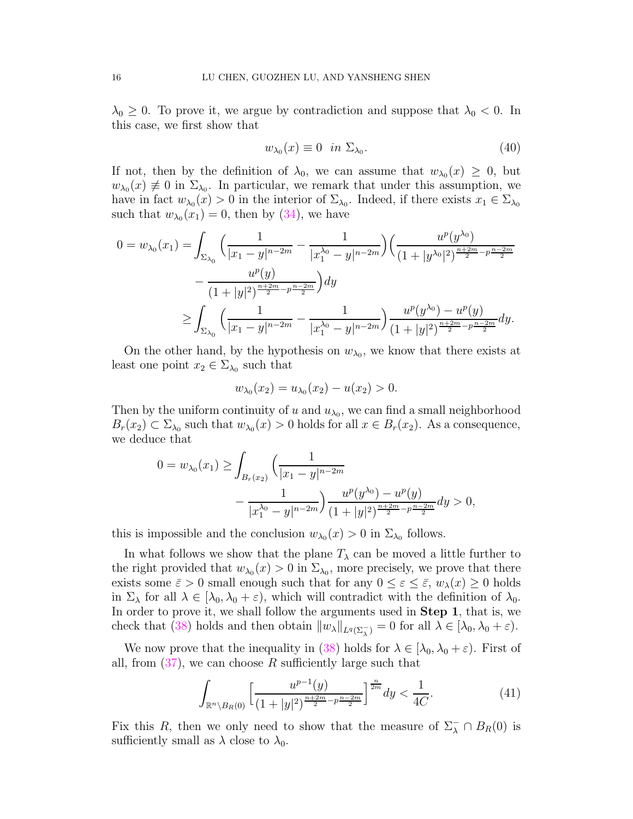$\lambda_0 \geq 0$ . To prove it, we argue by contradiction and suppose that  $\lambda_0 < 0$ . In this case, we first show that

<span id="page-15-1"></span>
$$
w_{\lambda_0}(x) \equiv 0 \quad \text{in } \Sigma_{\lambda_0}.\tag{40}
$$

If not, then by the definition of  $\lambda_0$ , we can assume that  $w_{\lambda_0}(x) \geq 0$ , but  $w_{\lambda_0}(x) \neq 0$  in  $\Sigma_{\lambda_0}$ . In particular, we remark that under this assumption, we have in fact  $w_{\lambda_0}(x) > 0$  in the interior of  $\Sigma_{\lambda_0}$ . Indeed, if there exists  $x_1 \in \Sigma_{\lambda_0}$ such that  $w_{\lambda_0}(x_1) = 0$ , then by  $(34)$ , we have

$$
0 = w_{\lambda_0}(x_1) = \int_{\Sigma_{\lambda_0}} \left( \frac{1}{|x_1 - y|^{n-2m}} - \frac{1}{|x_1^{\lambda_0} - y|^{n-2m}} \right) \left( \frac{u^p(y^{\lambda_0})}{(1 + |y^{\lambda_0}|^2)^{\frac{n+2m}{2} - p\frac{n-2m}{2}}} \right) dx
$$
  

$$
\geq \int_{\Sigma_{\lambda_0}} \left( \frac{1}{|x_1 - y|^{n-2m}} - \frac{1}{|x_1^{\lambda_0} - y|^{n-2m}} \right) \frac{u^p(y^{\lambda_0}) - u^p(y)}{(1 + |y|^2)^{\frac{n+2m}{2} - p\frac{n-2m}{2}}} dy.
$$

On the other hand, by the hypothesis on  $w_{\lambda_0}$ , we know that there exists at least one point  $x_2 \in \Sigma_{\lambda_0}$  such that

$$
w_{\lambda_0}(x_2) = u_{\lambda_0}(x_2) - u(x_2) > 0.
$$

Then by the uniform continuity of  $u$  and  $u_{\lambda_0}$ , we can find a small neighborhood  $B_r(x_2) \subset \Sigma_{\lambda_0}$  such that  $w_{\lambda_0}(x) > 0$  holds for all  $x \in B_r(x_2)$ . As a consequence, we deduce that

$$
0 = w_{\lambda_0}(x_1) \ge \int_{B_r(x_2)} \left( \frac{1}{|x_1 - y|^{n-2m}} - \frac{1}{|x_1^{\lambda_0} - y|^{n-2m}} \right) \frac{u^p(y^{\lambda_0}) - u^p(y)}{(1 + |y|^2)^{\frac{n+2m}{2} - p^{\frac{n-2m}{2}}} dy} > 0,
$$

this is impossible and the conclusion  $w_{\lambda_0}(x) > 0$  in  $\Sigma_{\lambda_0}$  follows.

In what follows we show that the plane  $T_{\lambda}$  can be moved a little further to the right provided that  $w_{\lambda_0}(x) > 0$  in  $\Sigma_{\lambda_0}$ , more precisely, we prove that there exists some  $\bar{\varepsilon} > 0$  small enough such that for any  $0 \leq \varepsilon \leq \bar{\varepsilon}$ ,  $w_{\lambda}(x) \geq 0$  holds in  $\Sigma_{\lambda}$  for all  $\lambda \in [\lambda_0, \lambda_0 + \varepsilon]$ , which will contradict with the definition of  $\lambda_0$ . In order to prove it, we shall follow the arguments used in **Step 1**, that is, we check that [\(38\)](#page-14-2) holds and then obtain  $||w_\lambda||_{L^q(\Sigma_\lambda^-)} = 0$  for all  $\lambda \in [\lambda_0, \lambda_0 + \varepsilon)$ .

We now prove that the inequality in [\(38\)](#page-14-2) holds for  $\lambda \in [\lambda_0, \lambda_0 + \varepsilon]$ . First of all, from  $(37)$ , we can choose R sufficiently large such that

<span id="page-15-0"></span>
$$
\int_{\mathbb{R}^n \setminus B_R(0)} \left[ \frac{u^{p-1}(y)}{(1+|y|^2)^{\frac{n+2m}{2}-p\frac{n-2m}{2}}} \right]^{\frac{n}{2m}} dy < \frac{1}{4C}.\tag{41}
$$

Fix this R, then we only need to show that the measure of  $\Sigma_{\lambda}^{-} \cap B_{R}(0)$  is sufficiently small as  $\lambda$  close to  $\lambda_0$ .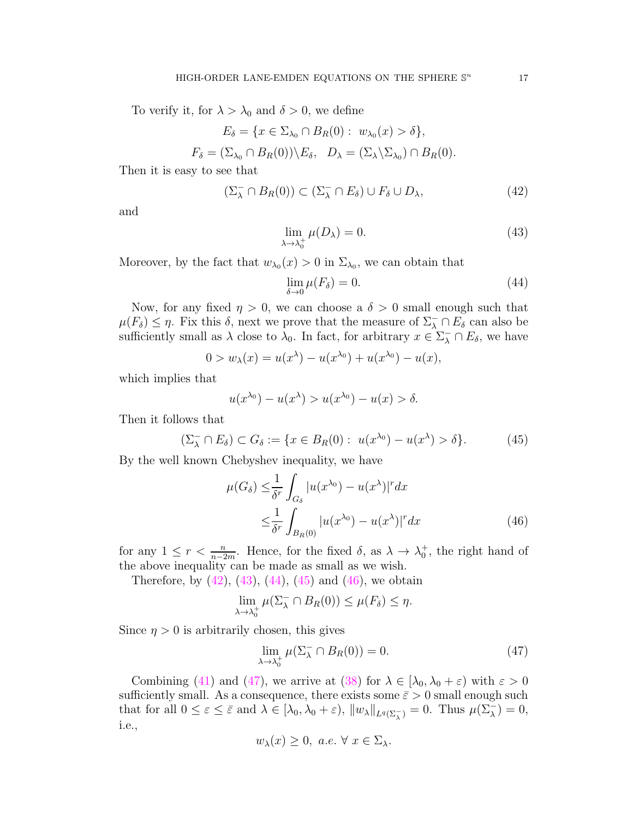To verify it, for  $\lambda > \lambda_0$  and  $\delta > 0$ , we define

 $E_{\delta} = \{x \in \Sigma_{\lambda_0} \cap B_R(0): w_{\lambda_0}(x) > \delta\},\$ 

$$
F_{\delta} = (\Sigma_{\lambda_0} \cap B_R(0)) \setminus E_{\delta}, \quad D_{\lambda} = (\Sigma_{\lambda} \setminus \Sigma_{\lambda_0}) \cap B_R(0).
$$

Then it is easy to see that

$$
(\Sigma_{\lambda}^{-} \cap B_{R}(0)) \subset (\Sigma_{\lambda}^{-} \cap E_{\delta}) \cup F_{\delta} \cup D_{\lambda}, \qquad (42)
$$

and

<span id="page-16-1"></span><span id="page-16-0"></span>
$$
\lim_{\lambda \to \lambda_0^+} \mu(D_\lambda) = 0. \tag{43}
$$

Moreover, by the fact that  $w_{\lambda_0}(x) > 0$  in  $\Sigma_{\lambda_0}$ , we can obtain that

<span id="page-16-3"></span><span id="page-16-2"></span>
$$
\lim_{\delta \to 0} \mu(F_{\delta}) = 0. \tag{44}
$$

Now, for any fixed  $\eta > 0$ , we can choose a  $\delta > 0$  small enough such that  $\mu(F_{\delta}) \leq \eta$ . Fix this  $\delta$ , next we prove that the measure of  $\Sigma_{\lambda}^{-} \cap E_{\delta}$  can also be sufficiently small as  $\lambda$  close to  $\lambda_0$ . In fact, for arbitrary  $x \in \Sigma_{\lambda}^- \cap E_{\delta}$ , we have

$$
0 > w_{\lambda}(x) = u(x^{\lambda}) - u(x^{\lambda_0}) + u(x^{\lambda_0}) - u(x),
$$

which implies that

$$
u(x^{\lambda_0}) - u(x^{\lambda}) > u(x^{\lambda_0}) - u(x) > \delta.
$$

Then it follows that

$$
(\Sigma_{\lambda}^{-} \cap E_{\delta}) \subset G_{\delta} := \{ x \in B_{R}(0) : u(x^{\lambda_0}) - u(x^{\lambda}) > \delta \}. \tag{45}
$$

By the well known Chebyshev inequality, we have

$$
\mu(G_{\delta}) \leq \frac{1}{\delta^{r}} \int_{G_{\delta}} |u(x^{\lambda_0}) - u(x^{\lambda})|^{r} dx
$$
  

$$
\leq \frac{1}{\delta^{r}} \int_{B_{R}(0)} |u(x^{\lambda_0}) - u(x^{\lambda})|^{r} dx
$$
 (46)

for any  $1 \leq r < \frac{n}{n-2m}$ . Hence, for the fixed  $\delta$ , as  $\lambda \to \lambda_0^+$ , the right hand of the above inequality can be made as small as we wish.

Therefore, by  $(42)$ ,  $(43)$ ,  $(44)$ ,  $(45)$  and  $(46)$ , we obtain

$$
\lim_{\lambda \to \lambda_0^+} \mu(\Sigma_\lambda^- \cap B_R(0)) \le \mu(F_\delta) \le \eta.
$$

Since  $\eta > 0$  is arbitrarily chosen, this gives

<span id="page-16-5"></span><span id="page-16-4"></span>
$$
\lim_{\lambda \to \lambda_0^+} \mu(\Sigma_\lambda^- \cap B_R(0)) = 0. \tag{47}
$$

Combining [\(41\)](#page-15-0) and [\(47\)](#page-16-5), we arrive at [\(38\)](#page-14-2) for  $\lambda \in [\lambda_0, \lambda_0 + \varepsilon]$  with  $\varepsilon > 0$ sufficiently small. As a consequence, there exists some  $\bar{\varepsilon} > 0$  small enough such that for all  $0 \leq \varepsilon \leq \bar{\varepsilon}$  and  $\lambda \in [\lambda_0, \lambda_0 + \varepsilon), ||w_\lambda||_{L^q(\Sigma_\lambda^-)} = 0$ . Thus  $\mu(\Sigma_\lambda^-) = 0$ , i.e.,

$$
w_{\lambda}(x) \geq 0
$$
, *a.e.*  $\forall x \in \Sigma_{\lambda}$ .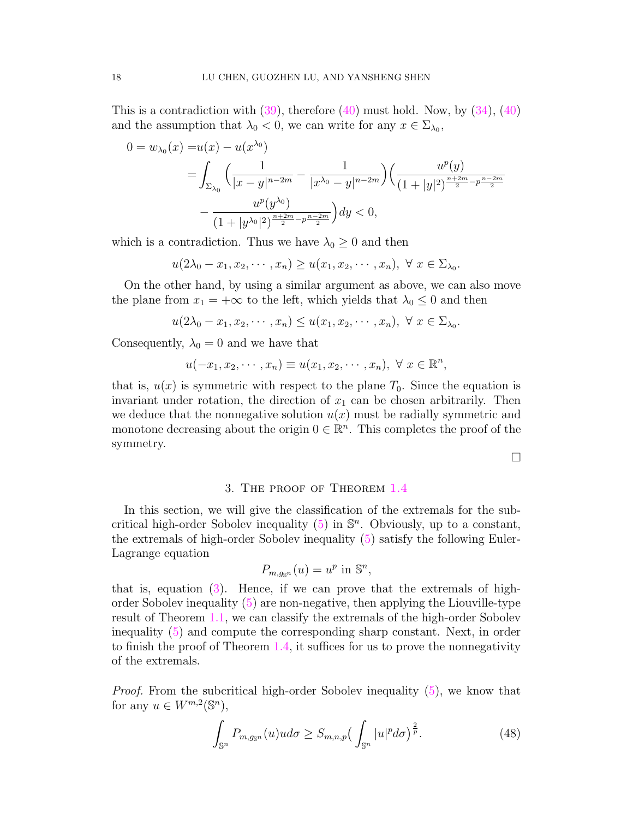This is a contradiction with  $(39)$ , therefore  $(40)$  must hold. Now, by  $(34)$ ,  $(40)$ and the assumption that  $\lambda_0 < 0$ , we can write for any  $x \in \Sigma_{\lambda_0}$ ,

$$
0 = w_{\lambda_0}(x) = u(x) - u(x^{\lambda_0})
$$
  
= 
$$
\int_{\Sigma_{\lambda_0}} \left( \frac{1}{|x - y|^{n - 2m}} - \frac{1}{|x^{\lambda_0} - y|^{n - 2m}} \right) \left( \frac{u^p(y)}{(1 + |y|^2)^{\frac{n + 2m}{2} - p \frac{n - 2m}{2}}} - \frac{u^p(y^{\lambda_0})}{(1 + |y^{\lambda_0}|^2)^{\frac{n + 2m}{2} - p \frac{n - 2m}{2}}} \right) dy < 0,
$$

which is a contradiction. Thus we have  $\lambda_0 \geq 0$  and then

$$
u(2\lambda_0-x_1,x_2,\cdots,x_n)\geq u(x_1,x_2,\cdots,x_n),\ \forall\ x\in\Sigma_{\lambda_0}.
$$

On the other hand, by using a similar argument as above, we can also move the plane from  $x_1 = +\infty$  to the left, which yields that  $\lambda_0 \leq 0$  and then

$$
u(2\lambda_0 - x_1, x_2, \cdots, x_n) \le u(x_1, x_2, \cdots, x_n), \ \forall \ x \in \Sigma_{\lambda_0}.
$$

Consequently,  $\lambda_0 = 0$  and we have that

$$
u(-x_1, x_2, \cdots, x_n) \equiv u(x_1, x_2, \cdots, x_n), \ \forall \ x \in \mathbb{R}^n,
$$

that is,  $u(x)$  is symmetric with respect to the plane  $T_0$ . Since the equation is invariant under rotation, the direction of  $x_1$  can be chosen arbitrarily. Then we deduce that the nonnegative solution  $u(x)$  must be radially symmetric and monotone decreasing about the origin  $0 \in \mathbb{R}^n$ . This completes the proof of the symmetry.

 $\Box$ 

### 3. The proof of Theorem [1.4](#page-4-0)

<span id="page-17-0"></span>In this section, we will give the classification of the extremals for the subcritical high-order Sobolev inequality  $(5)$  in  $\mathbb{S}^n$ . Obviously, up to a constant, the extremals of high-order Sobolev inequality [\(5\)](#page-4-1) satisfy the following Euler-Lagrange equation

$$
P_{m,g_{\mathbb{S}^n}}(u) = u^p \text{ in } \mathbb{S}^n,
$$

that is, equation  $(3)$ . Hence, if we can prove that the extremals of highorder Sobolev inequality [\(5\)](#page-4-1) are non-negative, then applying the Liouville-type result of Theorem [1.1,](#page-2-1) we can classify the extremals of the high-order Sobolev inequality [\(5\)](#page-4-1) and compute the corresponding sharp constant. Next, in order to finish the proof of Theorem [1.4,](#page-4-0) it suffices for us to prove the nonnegativity of the extremals.

Proof. From the subcritical high-order Sobolev inequality [\(5\)](#page-4-1), we know that for any  $u \in W^{m,2}(\mathbb{S}^n)$ ,

<span id="page-17-1"></span>
$$
\int_{\mathbb{S}^n} P_{m,g_{\mathbb{S}^n}}(u)ud\sigma \ge S_{m,n,p} \left(\int_{\mathbb{S}^n} |u|^p d\sigma\right)^{\frac{2}{p}}.\tag{48}
$$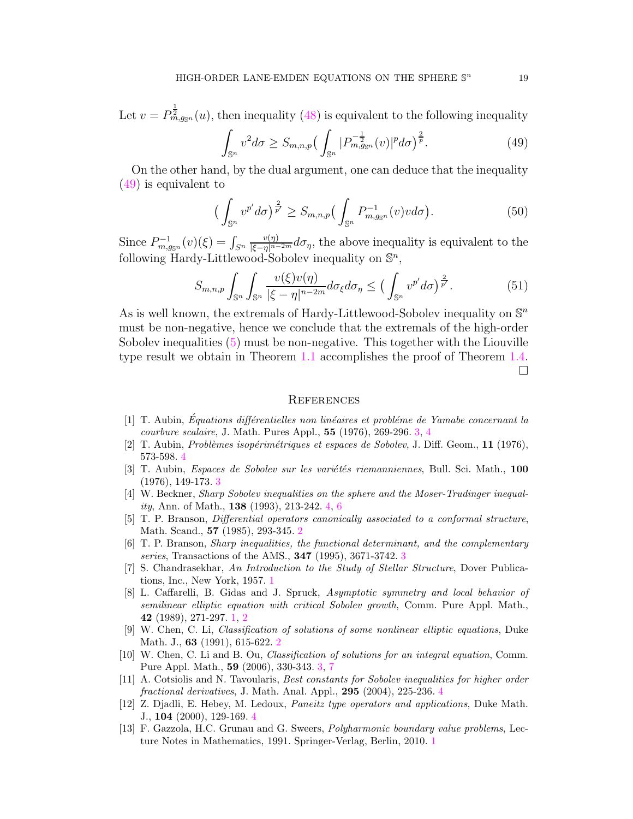Let  $v = P_{m,g_{\mathbb{S}^n}}^{\frac{1}{2}}(u)$ , then inequality [\(48\)](#page-17-1) is equivalent to the following inequality

<span id="page-18-13"></span>
$$
\int_{\mathbb{S}^n} v^2 d\sigma \ge S_{m,n,p} \left( \int_{\mathbb{S}^n} |P_{m,g_{\mathbb{S}^n}}^{-\frac{1}{2}}(v)|^p d\sigma \right)^{\frac{2}{p}}.
$$
 (49)

On the other hand, by the dual argument, one can deduce that the inequality [\(49\)](#page-18-13) is equivalent to

$$
\left(\int_{\mathbb{S}^n} v^{p'} d\sigma\right)^{\frac{2}{p'}} \ge S_{m,n,p}\left(\int_{\mathbb{S}^n} P_{m,g_{\mathbb{S}^n}}^{-1}(v)v d\sigma\right). \tag{50}
$$

Since  $P_{m,g_{\mathbb{S}^n}}^{-1}(v)(\xi) = \int_{S^n}$  $\frac{v(\eta)}{|\xi-\eta|^{n-2m}}d\sigma_{\eta}$ , the above inequality is equivalent to the following Hardy-Littlewood-Sobolev inequality on  $\mathbb{S}^n$ ,

$$
S_{m,n,p} \int_{\mathbb{S}^n} \int_{\mathbb{S}^n} \frac{v(\xi)v(\eta)}{|\xi - \eta|^{n-2m}} d\sigma_{\xi} d\sigma_{\eta} \le \left(\int_{\mathbb{S}^n} v^{p'} d\sigma\right)^{\frac{2}{p'}}.
$$
 (51)

As is well known, the extremals of Hardy-Littlewood-Sobolev inequality on  $\mathbb{S}^n$ must be non-negative, hence we conclude that the extremals of the high-order Sobolev inequalities [\(5\)](#page-4-1) must be non-negative. This together with the Liouville type result we obtain in Theorem [1.1](#page-2-1) accomplishes the proof of Theorem [1.4.](#page-4-0)  $\Box$ 

#### **REFERENCES**

- <span id="page-18-7"></span> $[1]$  T. Aubin, Equations différentielles non linéaires et problème de Yamabe concernant la courbure scalaire, J. Math. Pures Appl., 55 (1976), 269-296. [3,](#page-2-2) [4](#page-3-0)
- <span id="page-18-9"></span><span id="page-18-8"></span>[2] T. Aubin, Problèmes isopérimétriques et espaces de Sobolev, J. Diff. Geom., 11 (1976), 573-598. [4](#page-3-0)
- [3] T. Aubin, *Espaces de Sobolev sur les variétés riemanniennes*, Bull. Sci. Math., 100 (1976), 149-173. [3](#page-2-2)
- <span id="page-18-10"></span>[4] W. Beckner, Sharp Sobolev inequalities on the sphere and the Moser-Trudinger inequality, Ann. of Math., 138 (1993), 213-242. [4,](#page-3-0) [6](#page-5-2)
- <span id="page-18-4"></span>[5] T. P. Branson, *Differential operators canonically associated to a conformal structure*, Math. Scand., 57 (1985), 293-345. [2](#page-1-0)
- <span id="page-18-5"></span>[6] T. P. Branson, Sharp inequalities, the functional determinant, and the complementary series, Transactions of the AMS., **[3](#page-2-2)47** (1995), 3671-3742. 3
- <span id="page-18-0"></span>[7] S. Chandrasekhar, An Introduction to the Study of Stellar Structure, Dover Publications, Inc., New York, 1957. [1](#page-0-1)
- <span id="page-18-1"></span>[8] L. Caffarelli, B. Gidas and J. Spruck, Asymptotic symmetry and local behavior of semilinear elliptic equation with critical Sobolev growth, Comm. Pure Appl. Math., 42 (1989), 271-297. [1,](#page-0-1) [2](#page-1-0)
- <span id="page-18-3"></span>[9] W. Chen, C. Li, Classification of solutions of some nonlinear elliptic equations, Duke Math. J., **63** (1991), 615-6[2](#page-1-0)2. 2
- <span id="page-18-6"></span>[10] W. Chen, C. Li and B. Ou, Classification of solutions for an integral equation, Comm. Pure Appl. Math., 59 (2006), 330-343. [3,](#page-2-2) [7](#page-6-1)
- <span id="page-18-12"></span>[11] A. Cotsiolis and N. Tavoularis, Best constants for Sobolev inequalities for higher order fractional derivatives, J. Math. Anal. Appl., 295 (2004), 225-236. [4](#page-3-0)
- <span id="page-18-11"></span>[12] Z. Djadli, E. Hebey, M. Ledoux, Paneitz type operators and applications, Duke Math. J., 104 (2000), 129-169. [4](#page-3-0)
- <span id="page-18-2"></span>[13] F. Gazzola, H.C. Grunau and G. Sweers, Polyharmonic boundary value problems, Lecture Notes in Mathematics, 1991. Springer-Verlag, Berlin, 2010. [1](#page-0-1)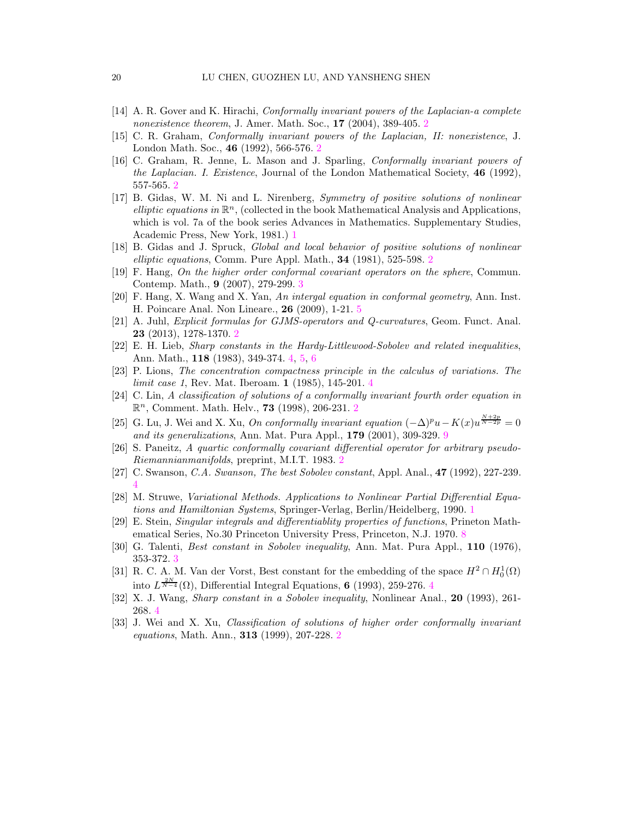- <span id="page-19-9"></span><span id="page-19-8"></span>[14] A. R. Gover and K. Hirachi, Conformally invariant powers of the Laplacian-a complete nonexistence theorem, J. Amer. Math. Soc., **17** ([2](#page-1-0)004), 389-405. 2
- <span id="page-19-6"></span>[15] C. R. Graham, Conformally invariant powers of the Laplacian, II: nonexistence, J. London Math. Soc., 46 (1992), 566-576. [2](#page-1-0)
- [16] C. Graham, R. Jenne, L. Mason and J. Sparling, Conformally invariant powers of the Laplacian. I. Existence, Journal of the London Mathematical Society, 46 (1992), 557-565. [2](#page-1-0)
- <span id="page-19-1"></span>[17] B. Gidas, W. M. Ni and L. Nirenberg, Symmetry of positive solutions of nonlinear elliptic equations in  $\mathbb{R}^n$ , (collected in the book Mathematical Analysis and Applications, which is vol. 7a of the book series Advances in Mathematics. Supplementary Studies, Academic Press, New York, 1981.) [1](#page-0-1)
- <span id="page-19-10"></span><span id="page-19-2"></span>[18] B. Gidas and J. Spruck, Global and local behavior of positive solutions of nonlinear elliptic equations, Comm. Pure Appl. Math., 34 (1981), 525-598. [2](#page-1-0)
- <span id="page-19-17"></span>[19] F. Hang, On the higher order conformal covariant operators on the sphere, Commun. Contemp. Math., 9 (2007), 279-299. [3](#page-2-2)
- <span id="page-19-7"></span>[20] F. Hang, X. Wang and X. Yan, An intergal equation in conformal geometry, Ann. Inst. H. Poincare Anal. Non Lineare., 26 (2009), 1-21. [5](#page-4-2)
- <span id="page-19-12"></span>[21] A. Juhl, Explicit formulas for GJMS-operators and Q-curvatures, Geom. Funct. Anal. 23 (2013), 1278-1370. [2](#page-1-0)
- <span id="page-19-13"></span>[22] E. H. Lieb, Sharp constants in the Hardy-Littlewood-Sobolev and related inequalities, Ann. Math., 118 (1983), 349-374. [4,](#page-3-0) [5,](#page-4-2) [6](#page-5-2)
- <span id="page-19-3"></span>[23] P. Lions, The concentration compactness principle in the calculus of variations. The limit case 1, Rev. Mat. Iberoam. **1** (1985), 1[4](#page-3-0)5-201. 4
- [24] C. Lin, A classification of solutions of a conformally invariant fourth order equation in  $\mathbb{R}^n$ , Comment. Math. Helv., **73** (1998), [2](#page-1-0)06-231. 2
- <span id="page-19-19"></span>[25] G. Lu, J. Wei and X. Xu, On conformally invariant equation  $(-\Delta)^p u - K(x) u^{\frac{N+2p}{N-2p}} = 0$ and its generalizations, Ann. Mat. Pura Appl., 179 (2001), 309-329. [9](#page-8-3)
- <span id="page-19-5"></span>[26] S. Paneitz, A quartic conformally covariant differential operator for arbitrary pseudo-Riemannianmanifolds, preprint, M.I.T. 1983. [2](#page-1-0)
- <span id="page-19-15"></span><span id="page-19-0"></span>[27] C. Swanson, C.A. Swanson, The best Sobolev constant, Appl. Anal., 47 (1992), 227-239. [4](#page-3-0)
- [28] M. Struwe, Variational Methods. Applications to Nonlinear Partial Differential Equations and Hamiltonian Systems, Springer-Verlag, Berlin/Heidelberg, 1990. [1](#page-0-1)
- <span id="page-19-18"></span>[29] E. Stein, Singular integrals and differentiablity properties of functions, Prineton Mathematical Series, No.30 Princeton University Press, Princeton, N.J. 1970. [8](#page-7-0)
- <span id="page-19-16"></span><span id="page-19-11"></span>[30] G. Talenti, *Best constant in Sobolev inequality*, Ann. Mat. Pura Appl., **110** (1976), 353-372. [3](#page-2-2)
- [31] R. C. A. M. Van der Vorst, Best constant for the embedding of the space  $H^2 \cap H_0^1(\Omega)$ into  $L^{\frac{2N}{N-4}}(\Omega)$  $L^{\frac{2N}{N-4}}(\Omega)$  $L^{\frac{2N}{N-4}}(\Omega)$ , Differential Integral Equations, 6 (1993), 259-276. 4
- <span id="page-19-14"></span><span id="page-19-4"></span>[32] X. J. Wang, Sharp constant in a Sobolev inequality, Nonlinear Anal., 20 (1993), 261- 268. [4](#page-3-0)
- [33] J. Wei and X. Xu, Classification of solutions of higher order conformally invariant equations, Math. Ann., 313 (1999), 207-228. [2](#page-1-0)